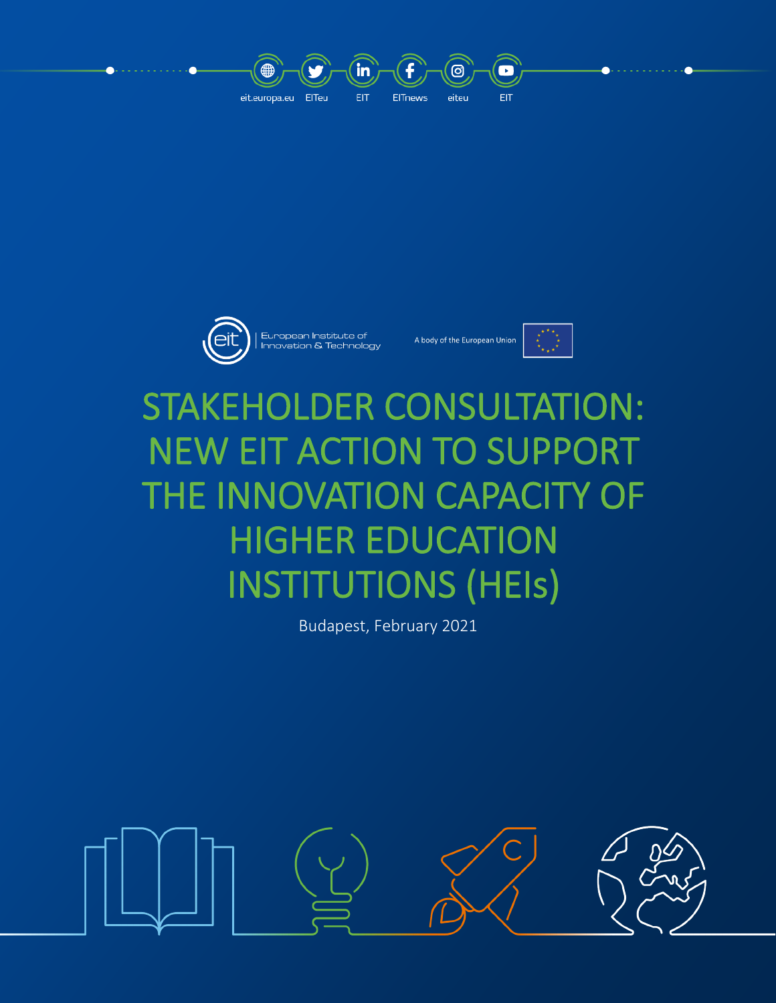





# STAKEHOLDER CONSULTATION: NEW EIT ACTION TO SUPPORT THE INNOVATION CAPACITY OF HIGHER EDUCATION INSTITUTIONS (HEIs)

Budapest, February 2021

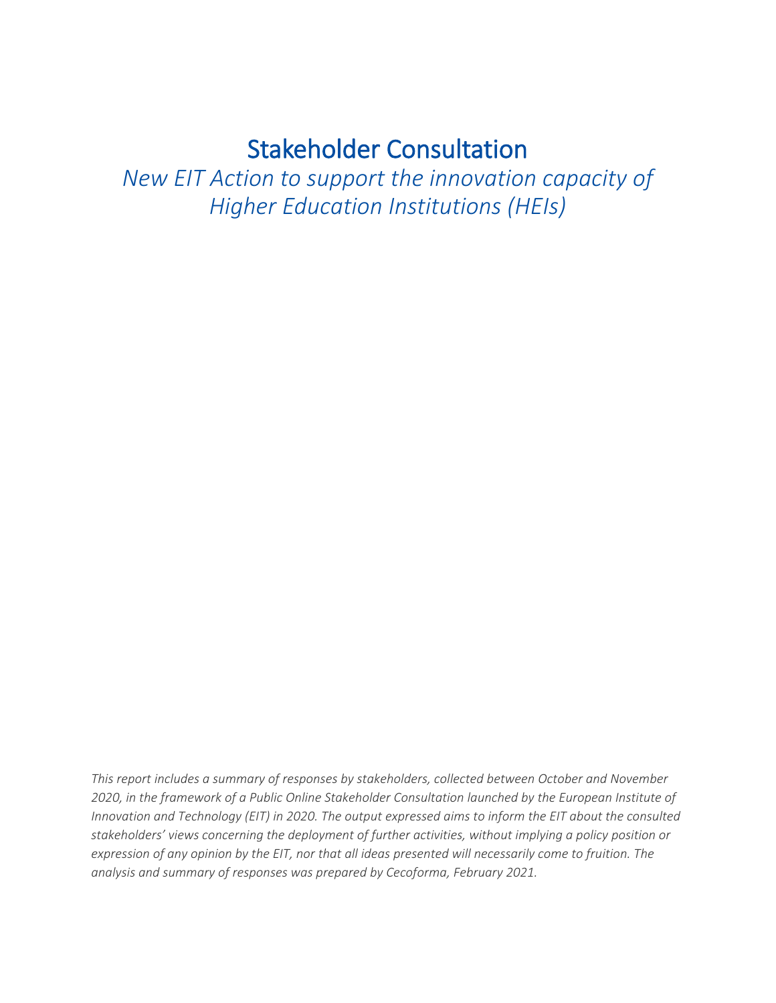## Stakeholder Consultation

*New EIT Action to support the innovation capacity of Higher Education Institutions (HEIs)*

*This report includes a summary of responses by stakeholders, collected between October and November 2020, in the framework of a Public Online Stakeholder Consultation launched by the European Institute of Innovation and Technology (EIT) in 2020. The output expressed aims to inform the EIT about the consulted stakeholders' views concerning the deployment of further activities, without implying a policy position or expression of any opinion by the EIT, nor that all ideas presented will necessarily come to fruition. The analysis and summary of responses was prepared by Cecoforma, February 2021.*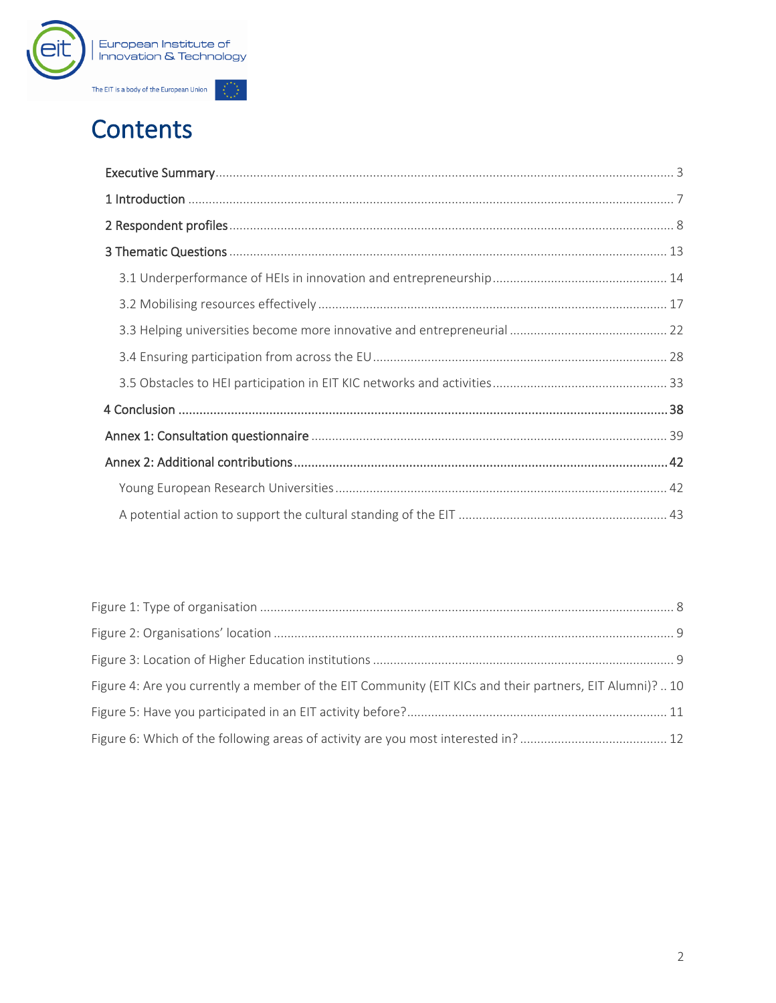

## **Contents**

| Figure 4: Are you currently a member of the EIT Community (EIT KICs and their partners, EIT Alumni)? 10 |  |
|---------------------------------------------------------------------------------------------------------|--|
|                                                                                                         |  |
|                                                                                                         |  |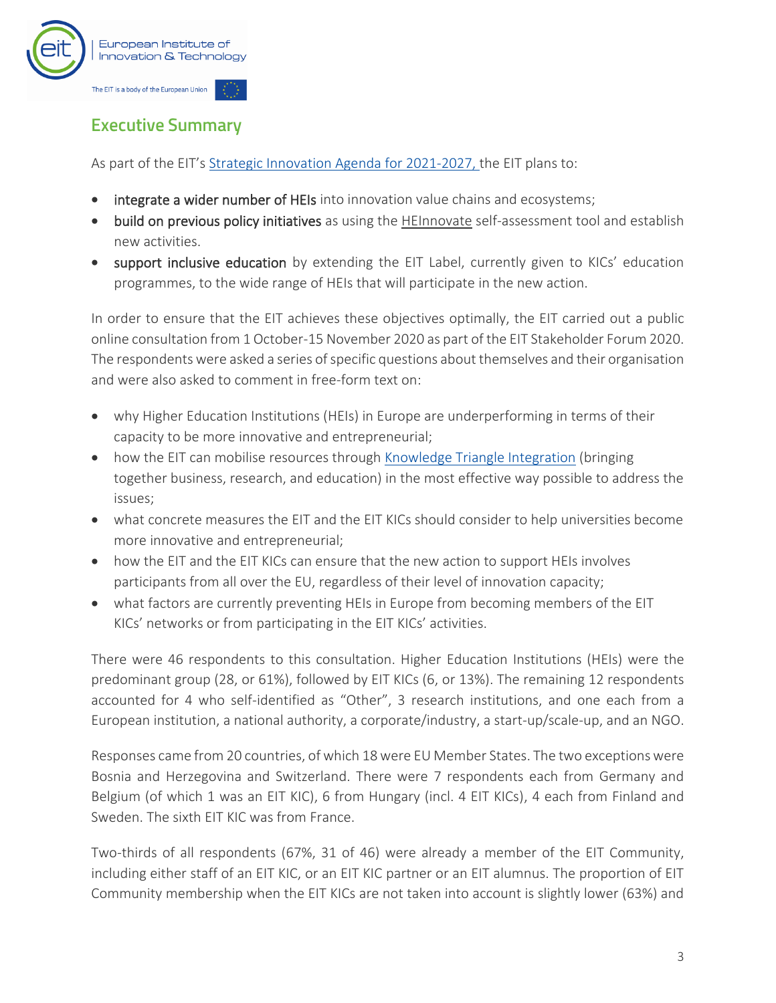

## <span id="page-4-0"></span>**Executive Summary**

As part of the EIT's [Strategic Innovation Agenda for 2021-2027,](https://eit.europa.eu/who-we-are/eit-glance/eit-strategy-2021-2027) the EIT plans to:

- integrate a wider number of HEIs into innovation value chains and ecosystems;
- build on previous policy initiatives as using the [HEInnovate](https://heinnovate.eu/en) self-assessment tool and establish new activities.
- support inclusive education by extending the EIT Label, currently given to KICs' education programmes, to the wide range of HEIs that will participate in the new action.

In order to ensure that the EIT achieves these objectives optimally, the EIT carried out a public online consultation from 1 October-15 November 2020 as part of the EIT Stakeholder Forum 2020. The respondents were asked a series of specific questions about themselves and their organisation and were also asked to comment in free-form text on:

- why Higher Education Institutions (HEIs) in Europe are underperforming in terms of their capacity to be more innovative and entrepreneurial;
- how the EIT can mobilise resources through [Knowledge Triangle Integration](https://eit.europa.eu/our-communities/eit-innovation-communities) (bringing together business, research, and education) in the most effective way possible to address the issues;
- what concrete measures the EIT and the EIT KICs should consider to help universities become more innovative and entrepreneurial;
- how the EIT and the EIT KICs can ensure that the new action to support HEIs involves participants from all over the EU, regardless of their level of innovation capacity;
- what factors are currently preventing HEIs in Europe from becoming members of the EIT KICs' networks or from participating in the EIT KICs' activities.

There were 46 respondents to this consultation. Higher Education Institutions (HEIs) were the predominant group (28, or 61%), followed by EIT KICs (6, or 13%). The remaining 12 respondents accounted for 4 who self-identified as "Other", 3 research institutions, and one each from a European institution, a national authority, a corporate/industry, a start-up/scale-up, and an NGO.

Responses came from 20 countries, of which 18 were EU Member States. The two exceptions were Bosnia and Herzegovina and Switzerland. There were 7 respondents each from Germany and Belgium (of which 1 was an EIT KIC), 6 from Hungary (incl. 4 EIT KICs), 4 each from Finland and Sweden. The sixth EIT KIC was from France.

Two-thirds of all respondents (67%, 31 of 46) were already a member of the EIT Community, including either staff of an EIT KIC, or an EIT KIC partner or an EIT alumnus. The proportion of EIT Community membership when the EIT KICs are not taken into account is slightly lower (63%) and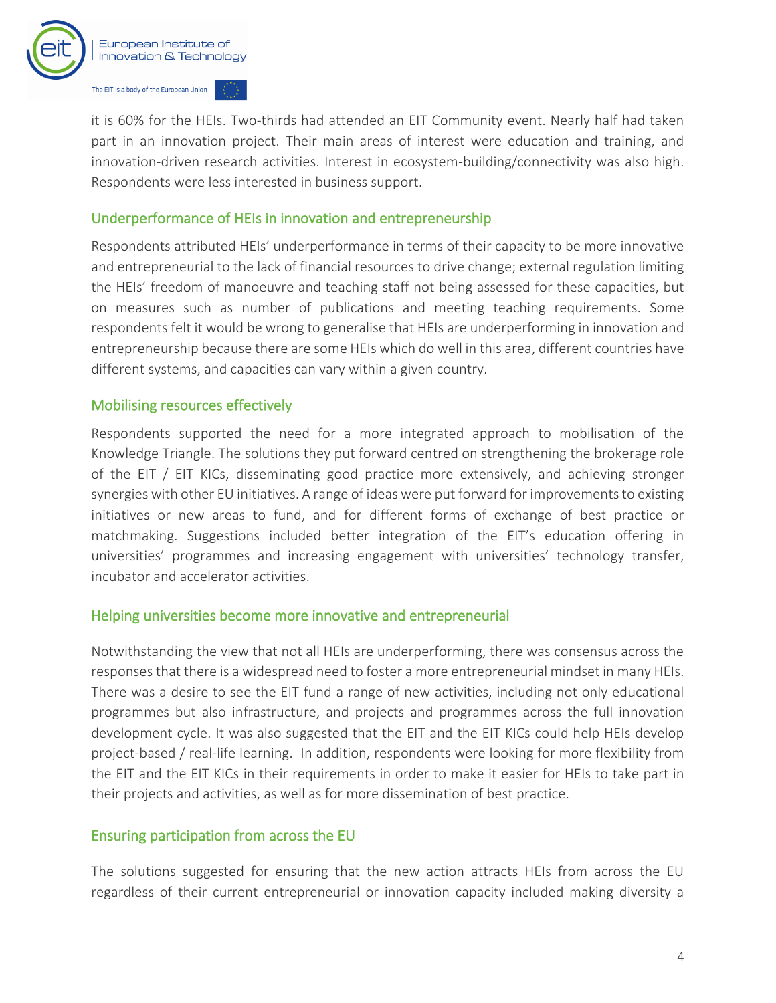

it is 60% for the HEIs. Two-thirds had attended an EIT Community event. Nearly half had taken part in an innovation project. Their main areas of interest were education and training, and innovation-driven research activities. Interest in ecosystem-building/connectivity was also high. Respondents were less interested in business support.

#### Underperformance of HEIs in innovation and entrepreneurship

Respondents attributed HEIs' underperformance in terms of their capacity to be more innovative and entrepreneurial to the lack of financial resources to drive change; external regulation limiting the HEIs' freedom of manoeuvre and teaching staff not being assessed for these capacities, but on measures such as number of publications and meeting teaching requirements. Some respondents felt it would be wrong to generalise that HEIs are underperforming in innovation and entrepreneurship because there are some HEIs which do well in this area, different countries have different systems, and capacities can vary within a given country.

#### Mobilising resources effectively

Respondents supported the need for a more integrated approach to mobilisation of the Knowledge Triangle. The solutions they put forward centred on strengthening the brokerage role of the EIT / EIT KICs, disseminating good practice more extensively, and achieving stronger synergies with other EU initiatives. A range of ideas were put forward for improvements to existing initiatives or new areas to fund, and for different forms of exchange of best practice or matchmaking. Suggestions included better integration of the EIT's education offering in universities' programmes and increasing engagement with universities' technology transfer, incubator and accelerator activities.

#### Helping universities become more innovative and entrepreneurial

Notwithstanding the view that not all HEIs are underperforming, there was consensus across the responses that there is a widespread need to foster a more entrepreneurial mindset in many HEIs. There was a desire to see the EIT fund a range of new activities, including not only educational programmes but also infrastructure, and projects and programmes across the full innovation development cycle. It was also suggested that the EIT and the EIT KICs could help HEIs develop project-based / real-life learning. In addition, respondents were looking for more flexibility from the EIT and the EIT KICs in their requirements in order to make it easier for HEIs to take part in their projects and activities, as well as for more dissemination of best practice.

#### Ensuring participation from across the EU

The solutions suggested for ensuring that the new action attracts HEIs from across the EU regardless of their current entrepreneurial or innovation capacity included making diversity a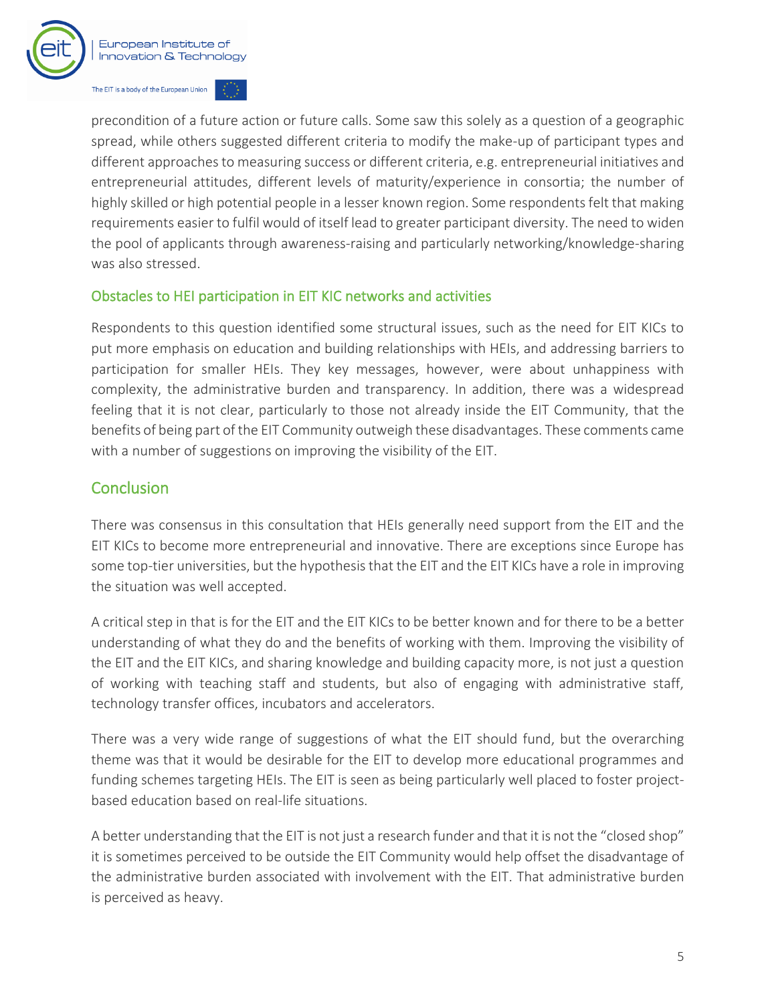

precondition of a future action or future calls. Some saw this solely as a question of a geographic spread, while others suggested different criteria to modify the make-up of participant types and different approaches to measuring success or different criteria, e.g. entrepreneurial initiatives and entrepreneurial attitudes, different levels of maturity/experience in consortia; the number of highly skilled or high potential people in a lesser known region. Some respondents felt that making requirements easier to fulfil would of itself lead to greater participant diversity. The need to widen the pool of applicants through awareness-raising and particularly networking/knowledge-sharing was also stressed.

#### Obstacles to HEI participation in EIT KIC networks and activities

Respondents to this question identified some structural issues, such as the need for EIT KICs to put more emphasis on education and building relationships with HEIs, and addressing barriers to participation for smaller HEIs. They key messages, however, were about unhappiness with complexity, the administrative burden and transparency. In addition, there was a widespread feeling that it is not clear, particularly to those not already inside the EIT Community, that the benefits of being part of the EIT Community outweigh these disadvantages. These comments came with a number of suggestions on improving the visibility of the EIT.

#### **Conclusion**

There was consensus in this consultation that HEIs generally need support from the EIT and the EIT KICs to become more entrepreneurial and innovative. There are exceptions since Europe has some top-tier universities, but the hypothesis that the EIT and the EIT KICs have a role in improving the situation was well accepted.

A critical step in that is for the EIT and the EIT KICs to be better known and for there to be a better understanding of what they do and the benefits of working with them. Improving the visibility of the EIT and the EIT KICs, and sharing knowledge and building capacity more, is not just a question of working with teaching staff and students, but also of engaging with administrative staff, technology transfer offices, incubators and accelerators.

There was a very wide range of suggestions of what the EIT should fund, but the overarching theme was that it would be desirable for the EIT to develop more educational programmes and funding schemes targeting HEIs. The EIT is seen as being particularly well placed to foster projectbased education based on real-life situations.

A better understanding that the EIT is not just a research funder and that it is not the "closed shop" it is sometimes perceived to be outside the EIT Community would help offset the disadvantage of the administrative burden associated with involvement with the EIT. That administrative burden is perceived as heavy.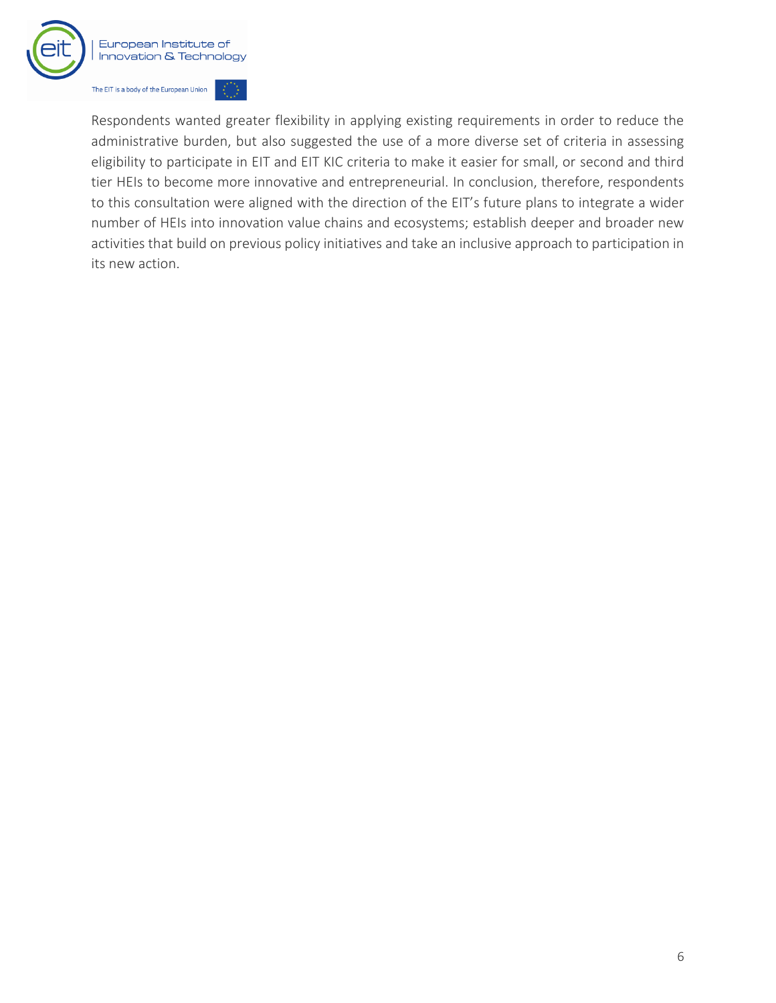

Respondents wanted greater flexibility in applying existing requirements in order to reduce the administrative burden, but also suggested the use of a more diverse set of criteria in assessing eligibility to participate in EIT and EIT KIC criteria to make it easier for small, or second and third tier HEIs to become more innovative and entrepreneurial. In conclusion, therefore, respondents to this consultation were aligned with the direction of the EIT's future plans to integrate a wider number of HEIs into innovation value chains and ecosystems; establish deeper and broader new activities that build on previous policy initiatives and take an inclusive approach to participation in its new action.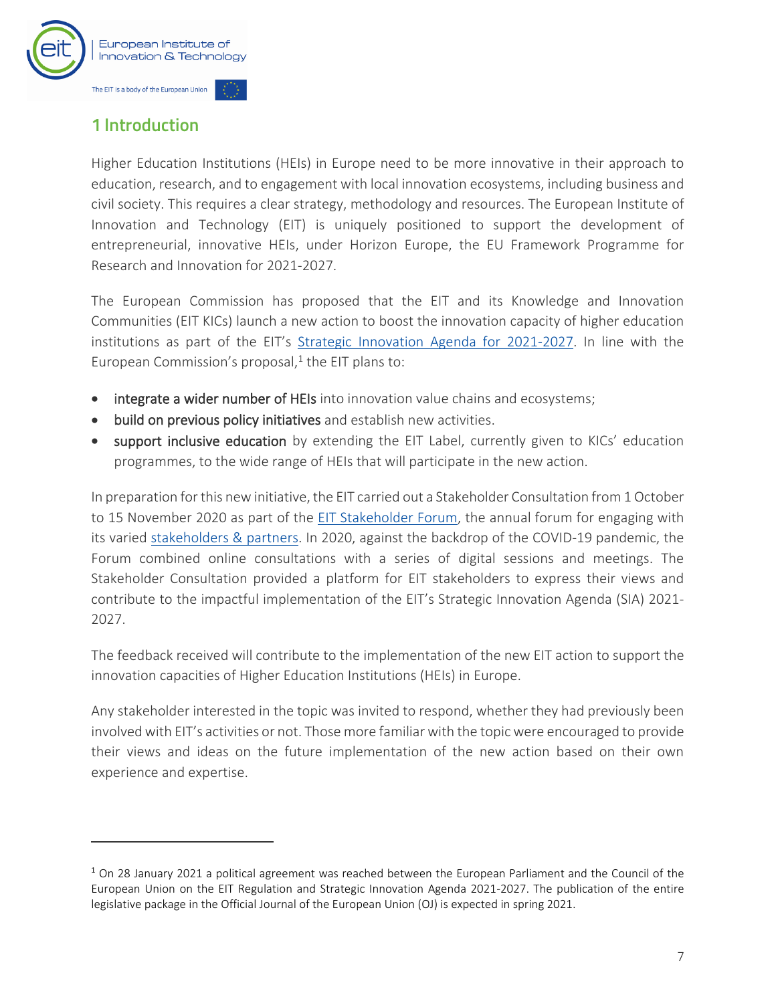

## <span id="page-8-0"></span>1 Introduction

Higher Education Institutions (HEIs) in Europe need to be more innovative in their approach to education, research, and to engagement with local innovation ecosystems, including business and civil society. This requires a clear strategy, methodology and resources. The European Institute of Innovation and Technology (EIT) is uniquely positioned to support the development of entrepreneurial, innovative HEIs, under Horizon Europe, the EU Framework Programme for Research and Innovation for 2021-2027.

The European Commission has proposed that the EIT and its Knowledge and Innovation Communities (EIT KICs) launch a new action to boost the innovation capacity of higher education institutions as part of the EIT's [Strategic Innovation Agenda for 2021-2027.](https://eit.europa.eu/who-we-are/eit-glance/eit-strategy-2021-2027) In line with the European Commission's proposal, 1 the EIT plans to:

- integrate a wider number of HEIs into innovation value chains and ecosystems;
- build on previous policy initiatives and establish new activities.
- support inclusive education by extending the EIT Label, currently given to KICs' education programmes, to the wide range of HEIs that will participate in the new action.

In preparation for this new initiative, the EIT carried out a Stakeholder Consultation from 1 October to 15 November 2020 as part of the [EIT Stakeholder Forum,](https://eit.europa.eu/who-we-are/our-stakeholders-partners/eit-stakeholder-forum) the annual forum for engaging with its varied [stakeholders & partners.](https://eit.europa.eu/who-we-are/our-stakeholders-partners) In 2020, against the backdrop of the COVID-19 pandemic, the Forum combined online consultations with a series of digital sessions and meetings. The Stakeholder Consultation provided a platform for EIT stakeholders to express their views and contribute to the impactful implementation of the EIT's Strategic Innovation Agenda (SIA) 2021- 2027.

The feedback received will contribute to the implementation of the new EIT action to support the innovation capacities of Higher Education Institutions (HEIs) in Europe.

Any stakeholder interested in the topic was invited to respond, whether they had previously been involved with EIT's activities or not. Those more familiar with the topic were encouraged to provide their views and ideas on the future implementation of the new action based on their own experience and expertise.

 $1$  On 28 January 2021 a political agreement was reached between the European Parliament and the Council of the European Union on the EIT Regulation and Strategic Innovation Agenda 2021-2027. The publication of the entire legislative package in the Official Journal of the European Union (OJ) is expected in spring 2021.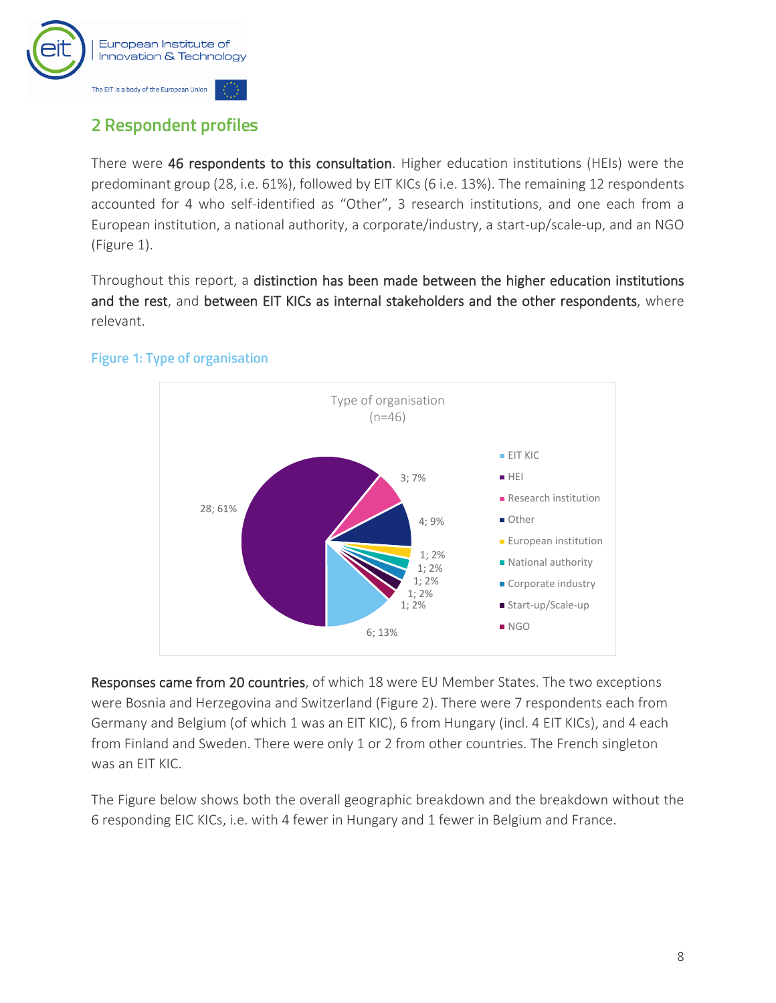

## <span id="page-9-0"></span>**2 Respondent profiles**

There were 46 respondents to this consultation. Higher education institutions (HEIs) were the predominant group (28, i.e. 61%), followed by EIT KICs (6 i.e. 13%). The remaining 12 respondents accounted for 4 who self-identified as "Other", 3 research institutions, and one each from a European institution, a national authority, a corporate/industry, a start-up/scale-up, and an NGO [\(Figure 1\)](#page-9-1).

Throughout this report, a distinction has been made between the higher education institutions and the rest, and between EIT KICs as internal stakeholders and the other respondents, where relevant.

#### 6; 13% 28; 61% 3; 7% 4; 9% 1; 2% 1; 2% 1; 2% 1; 2% 1; 2% Type of organisation  $(n=46)$ **EIT KIC** HEI **Research institution** Other **European institution National authority** Corporate industry ■ Start-up/Scale-up **NGO**

#### <span id="page-9-1"></span>**Figure 1: Type of organisation**

Responses came from 20 countries, of which 18 were EU Member States. The two exceptions were Bosnia and Herzegovina and Switzerland [\(Figure 2\)](#page-10-0). There were 7 respondents each from Germany and Belgium (of which 1 was an EIT KIC), 6 from Hungary (incl. 4 EIT KICs), and 4 each from Finland and Sweden. There were only 1 or 2 from other countries. The French singleton was an EIT KIC.

The Figure below shows both the overall geographic breakdown and the breakdown without the 6 responding EIC KICs, i.e. with 4 fewer in Hungary and 1 fewer in Belgium and France.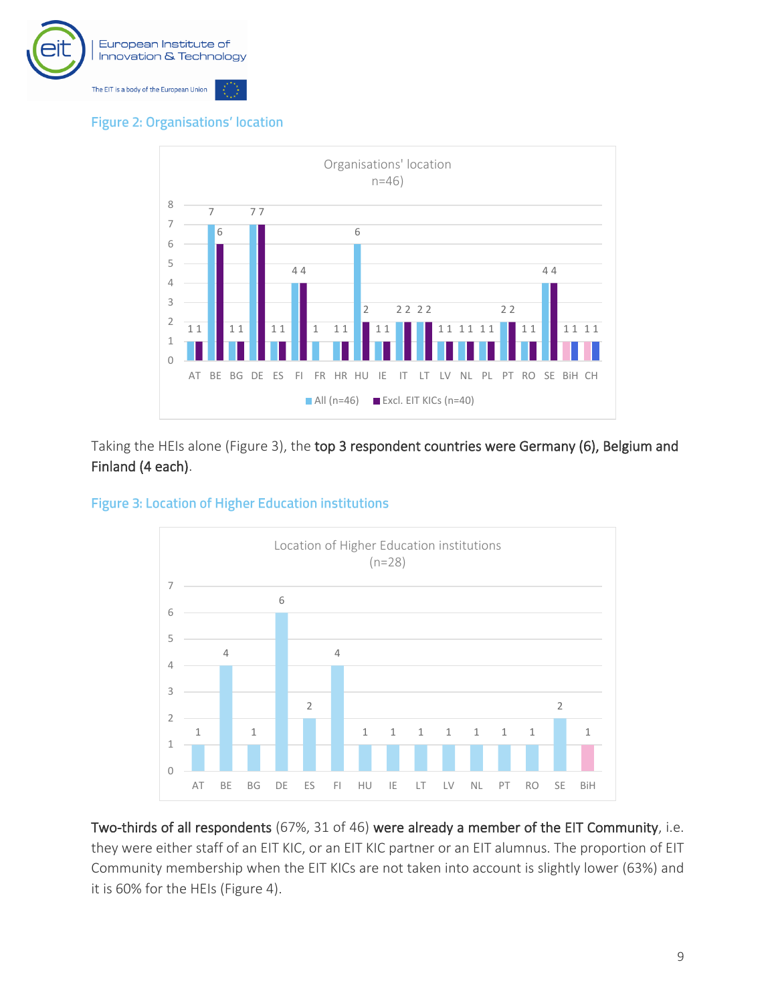

**Figure 2: Organisations' location** 

<span id="page-10-0"></span>

Taking the HEIs alone [\(Figure 3\)](#page-10-1), the top 3 respondent countries were Germany (6), Belgium and Finland (4 each).

<span id="page-10-1"></span>



Two-thirds of all respondents (67%, 31 of 46) were already a member of the EIT Community, i.e. they were either staff of an EIT KIC, or an EIT KIC partner or an EIT alumnus. The proportion of EIT Community membership when the EIT KICs are not taken into account is slightly lower (63%) and it is 60% for the HEIs [\(Figure 4\)](#page-11-0).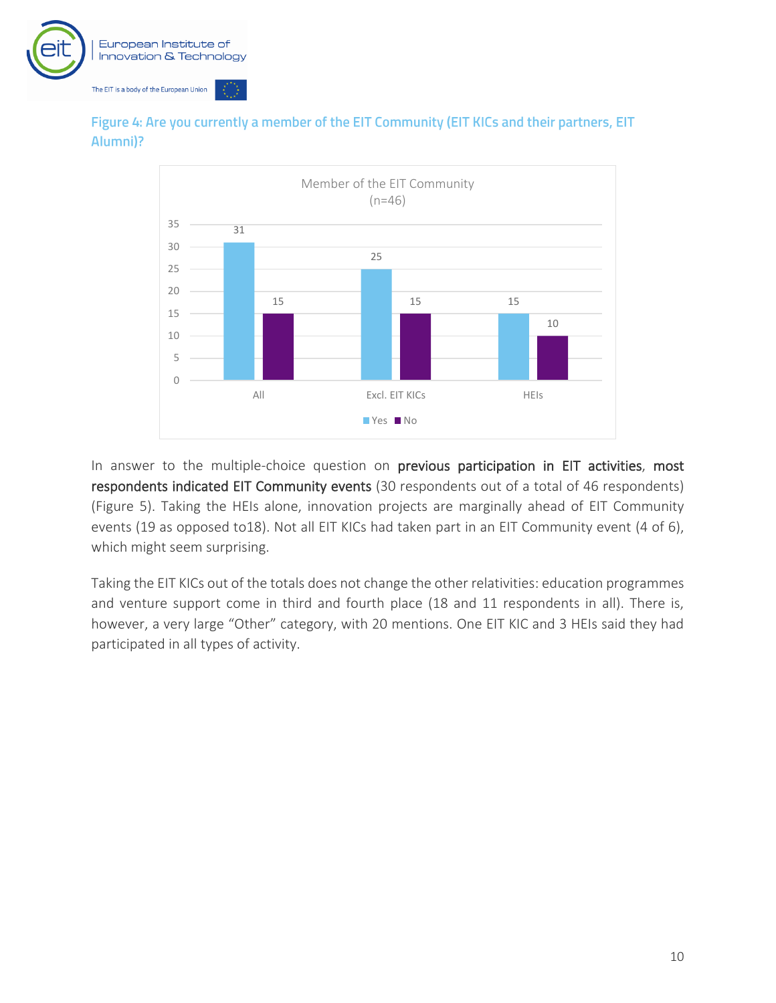



<span id="page-11-0"></span>Figure 4: Are you currently a member of the EIT Community (EIT KICs and their partners, EIT Alumni)?

In answer to the multiple-choice question on previous participation in EIT activities, most respondents indicated EIT Community events (30 respondents out of a total of 46 respondents) [\(Figure 5\)](#page-12-0). Taking the HEIs alone, innovation projects are marginally ahead of EIT Community events (19 as opposed to18). Not all EIT KICs had taken part in an EIT Community event (4 of 6), which might seem surprising.

Taking the EIT KICs out of the totals does not change the other relativities: education programmes and venture support come in third and fourth place (18 and 11 respondents in all). There is, however, a very large "Other" category, with 20 mentions. One EIT KIC and 3 HEIs said they had participated in all types of activity.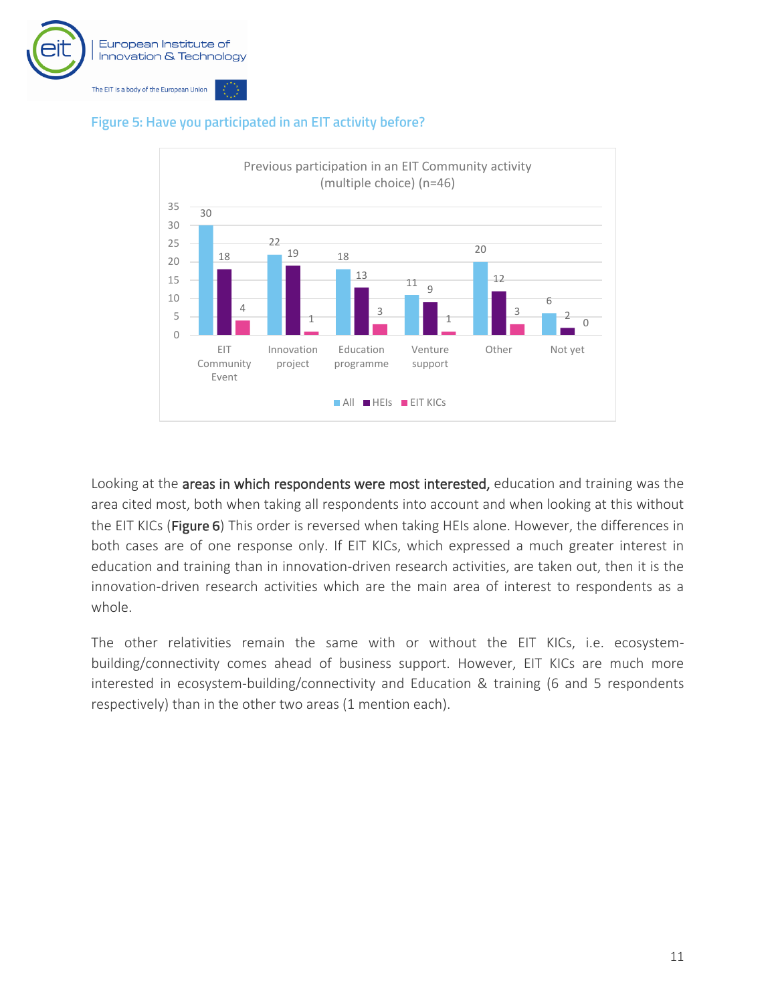



#### <span id="page-12-0"></span>Figure 5: Have you participated in an EIT activity before?

Looking at the areas in which respondents were most interested, education and training was the area cited most, both when taking all respondents into account and when looking at this without the EIT KICs (Figure 6[\)](#page-13-0) This order is reversed when taking HEIs alone. However, the differences in both cases are of one response only. If EIT KICs, which expressed a much greater interest in education and training than in innovation-driven research activities, are taken out, then it is the innovation-driven research activities which are the main area of interest to respondents as a whole.

The other relativities remain the same with or without the EIT KICs, i.e. ecosystembuilding/connectivity comes ahead of business support. However, EIT KICs are much more interested in ecosystem-building/connectivity and Education & training (6 and 5 respondents respectively) than in the other two areas (1 mention each).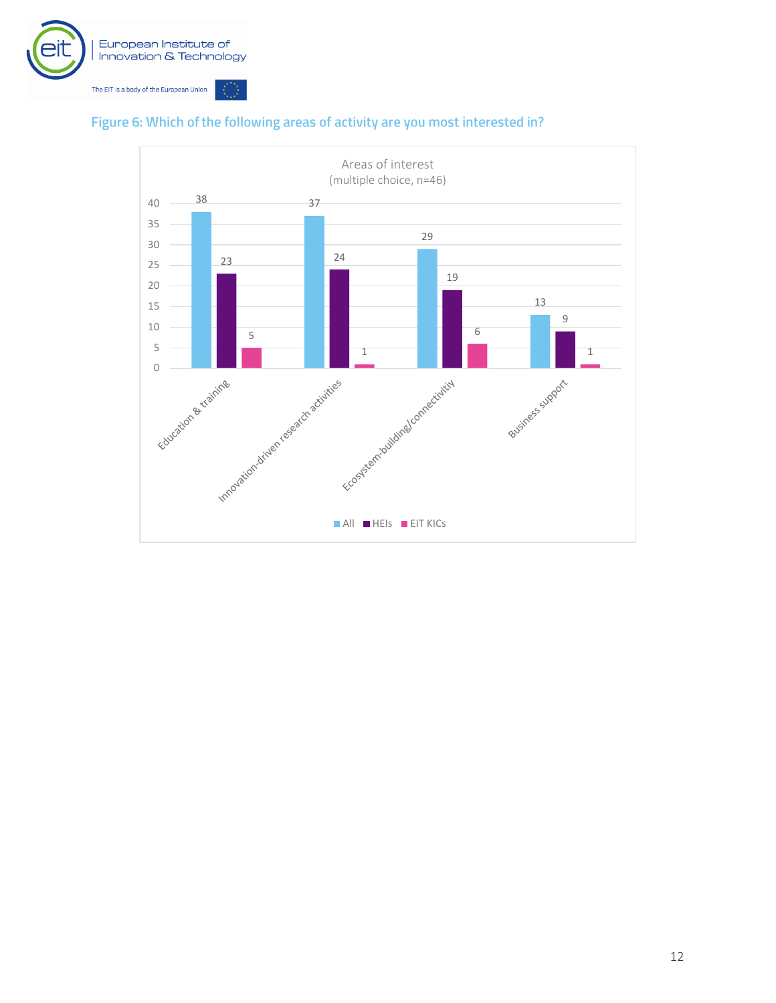



#### <span id="page-13-0"></span>Figure 6: Which of the following areas of activity are you most interested in?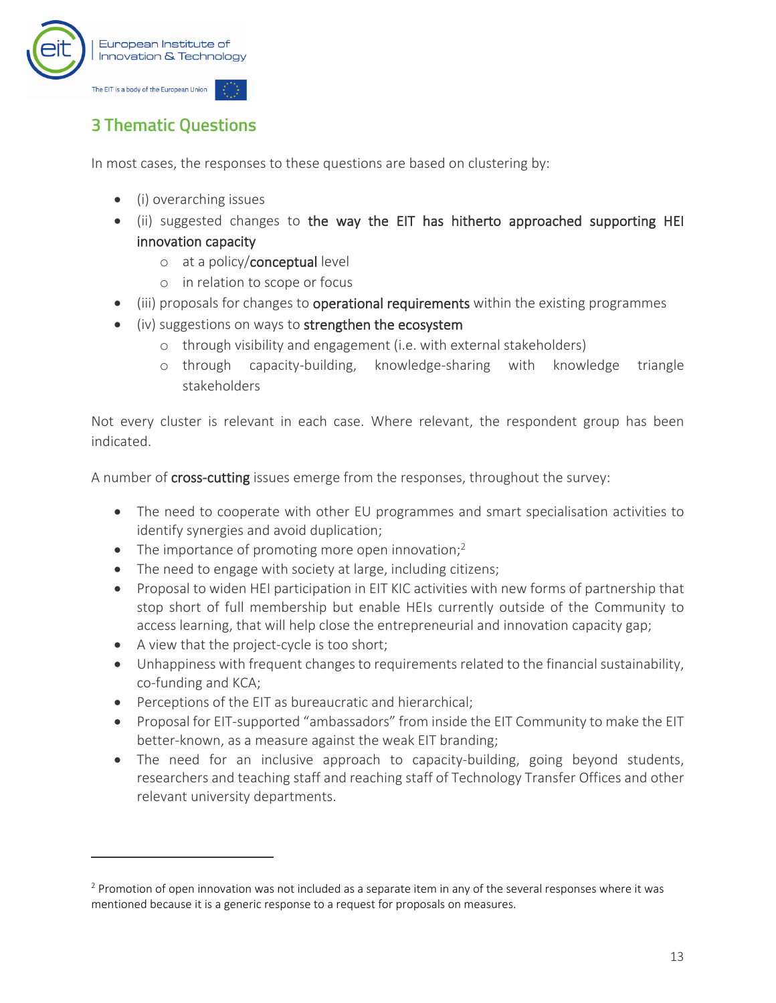

## <span id="page-14-0"></span>**3 Thematic Questions**

In most cases, the responses to these questions are based on clustering by:

- (i) overarching issues
- (ii) suggested changes to the way the EIT has hitherto approached supporting HEI innovation capacity
	- o at a policy/conceptual level
	- o in relation to scope or focus
- (iii) proposals for changes to **operational requirements** within the existing programmes
- (iv) suggestions on ways to strengthen the ecosystem
	- o through visibility and engagement (i.e. with external stakeholders)
	- o through capacity-building, knowledge-sharing with knowledge triangle stakeholders

Not every cluster is relevant in each case. Where relevant, the respondent group has been indicated.

A number of **cross-cutting** issues emerge from the responses, throughout the survey:

- The need to cooperate with other EU programmes and smart specialisation activities to identify synergies and avoid duplication;
- The importance of promoting more open innovation;<sup>2</sup>
- The need to engage with society at large, including citizens;
- Proposal to widen HEI participation in EIT KIC activities with new forms of partnership that stop short of full membership but enable HEIs currently outside of the Community to access learning, that will help close the entrepreneurial and innovation capacity gap;
- A view that the project-cycle is too short;
- Unhappiness with frequent changes to requirements related to the financial sustainability, co-funding and KCA;
- Perceptions of the EIT as bureaucratic and hierarchical;
- Proposal for EIT-supported "ambassadors" from inside the EIT Community to make the EIT better-known, as a measure against the weak EIT branding;
- The need for an inclusive approach to capacity-building, going beyond students, researchers and teaching staff and reaching staff of Technology Transfer Offices and other relevant university departments.

<sup>&</sup>lt;sup>2</sup> Promotion of open innovation was not included as a separate item in any of the several responses where it was mentioned because it is a generic response to a request for proposals on measures.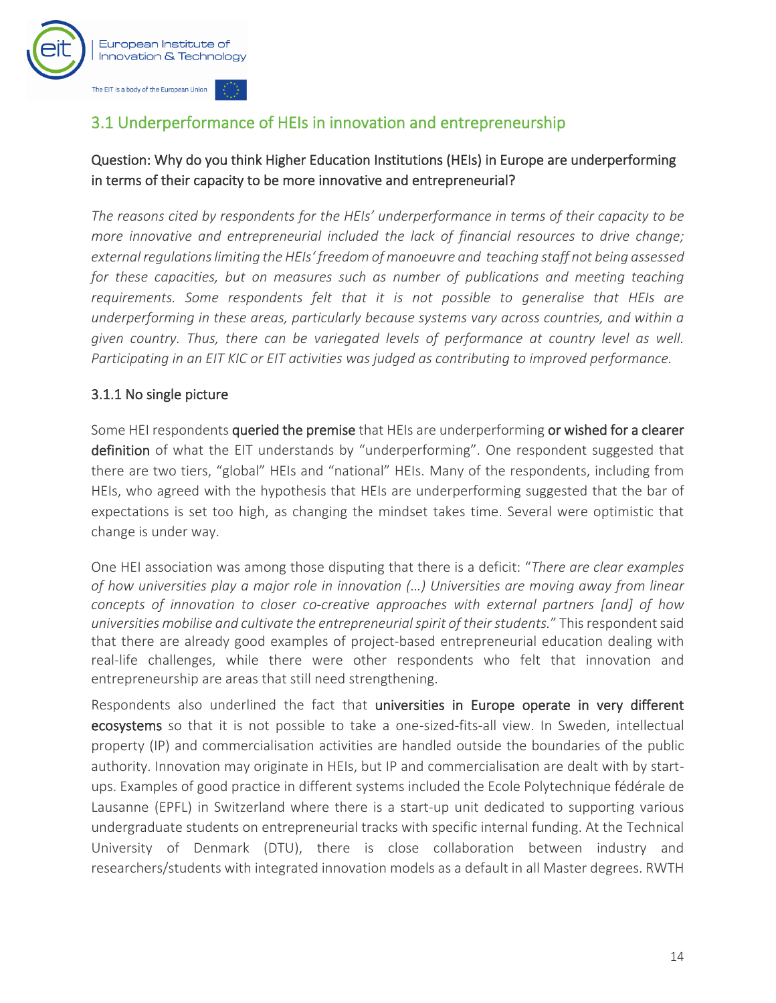

## <span id="page-15-0"></span>3.1 Underperformance of HEIs in innovation and entrepreneurship

#### Question: Why do you think Higher Education Institutions (HEIs) in Europe are underperforming in terms of their capacity to be more innovative and entrepreneurial?

*The reasons cited by respondents for the HEIs' underperformance in terms of their capacity to be more innovative and entrepreneurial included the lack of financial resources to drive change; external regulationslimiting the HEIs' freedom of manoeuvre and teaching staff not being assessed*  for these capacities, but on measures such as number of publications and meeting teaching *requirements. Some respondents felt that it is not possible to generalise that HEIs are underperforming in these areas, particularly because systems vary across countries, and within a given country. Thus, there can be variegated levels of performance at country level as well. Participating in an EIT KIC or EIT activities was judged as contributing to improved performance.* 

#### 3.1.1 No single picture

Some HEI respondents queried the premise that HEIs are underperforming or wished for a clearer definition of what the EIT understands by "underperforming". One respondent suggested that there are two tiers, "global" HEIs and "national" HEIs. Many of the respondents, including from HEIs, who agreed with the hypothesis that HEIs are underperforming suggested that the bar of expectations is set too high, as changing the mindset takes time. Several were optimistic that change is under way.

One HEI association was among those disputing that there is a deficit: "*There are clear examples of how universities play a major role in innovation (…) Universities are moving away from linear concepts of innovation to closer co-creative approaches with external partners [and] of how universities mobilise and cultivate the entrepreneurialspirit of theirstudents.*" Thisrespondentsaid that there are already good examples of project-based entrepreneurial education dealing with real-life challenges, while there were other respondents who felt that innovation and entrepreneurship are areas that still need strengthening.

Respondents also underlined the fact that universities in Europe operate in very different ecosystems so that it is not possible to take a one-sized-fits-all view. In Sweden, intellectual property (IP) and commercialisation activities are handled outside the boundaries of the public authority. Innovation may originate in HEIs, but IP and commercialisation are dealt with by startups. Examples of good practice in different systems included the Ecole Polytechnique fédérale de Lausanne (EPFL) in Switzerland where there is a start-up unit dedicated to supporting various undergraduate students on entrepreneurial tracks with specific internal funding. At the Technical University of Denmark (DTU), there is close collaboration between industry and researchers/students with integrated innovation models as a default in all Master degrees. RWTH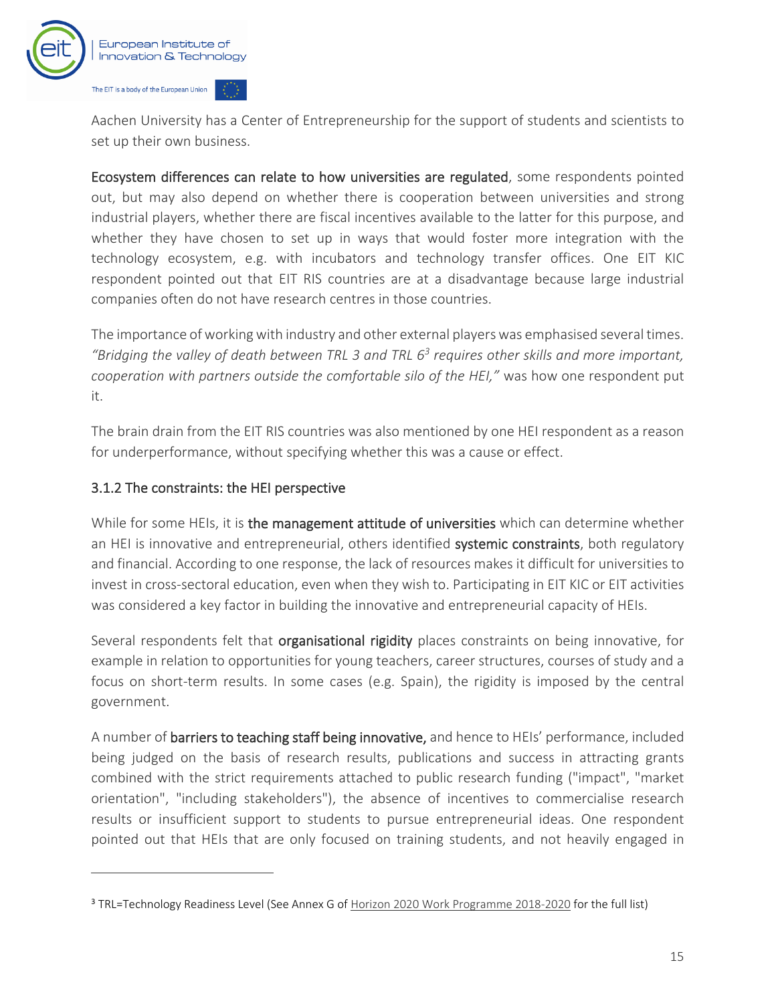

Aachen University has a Center of Entrepreneurship for the support of students and scientists to set up their own business.

Ecosystem differences can relate to how universities are regulated, some respondents pointed out, but may also depend on whether there is cooperation between universities and strong industrial players, whether there are fiscal incentives available to the latter for this purpose, and whether they have chosen to set up in ways that would foster more integration with the technology ecosystem, e.g. with incubators and technology transfer offices. One EIT KIC respondent pointed out that EIT RIS countries are at a disadvantage because large industrial companies often do not have research centres in those countries.

The importance of working with industry and other external players was emphasised several times. *"Bridging the valley of death between TRL 3 and TRL 6<sup>3</sup> requires other skills and more important, cooperation with partners outside the comfortable silo of the HEI,"* was how one respondent put it.

The brain drain from the EIT RIS countries was also mentioned by one HEI respondent as a reason for underperformance, without specifying whether this was a cause or effect.

#### 3.1.2 The constraints: the HEI perspective

While for some HEIs, it is the management attitude of universities which can determine whether an HEI is innovative and entrepreneurial, others identified systemic constraints, both regulatory and financial. According to one response, the lack of resources makes it difficult for universities to invest in cross-sectoral education, even when they wish to. Participating in EIT KIC or EIT activities was considered a key factor in building the innovative and entrepreneurial capacity of HEIs.

Several respondents felt that **organisational rigidity** places constraints on being innovative, for example in relation to opportunities for young teachers, career structures, courses of study and a focus on short-term results. In some cases (e.g. Spain), the rigidity is imposed by the central government.

A number of barriers to teaching staff being innovative, and hence to HEIs' performance, included being judged on the basis of research results, publications and success in attracting grants combined with the strict requirements attached to public research funding ("impact", "market orientation", "including stakeholders"), the absence of incentives to commercialise research results or insufficient support to students to pursue entrepreneurial ideas. One respondent pointed out that HEIs that are only focused on training students, and not heavily engaged in

<sup>3</sup> TRL=Technology Readiness Level (See Annex G of [Horizon 2020 Work Programme 2018-2020](https://ec.europa.eu/research/participants/data/ref/h2020/other/wp/2018-2020/annexes/h2020-wp1820-annex-ga_en.pdf) for the full list)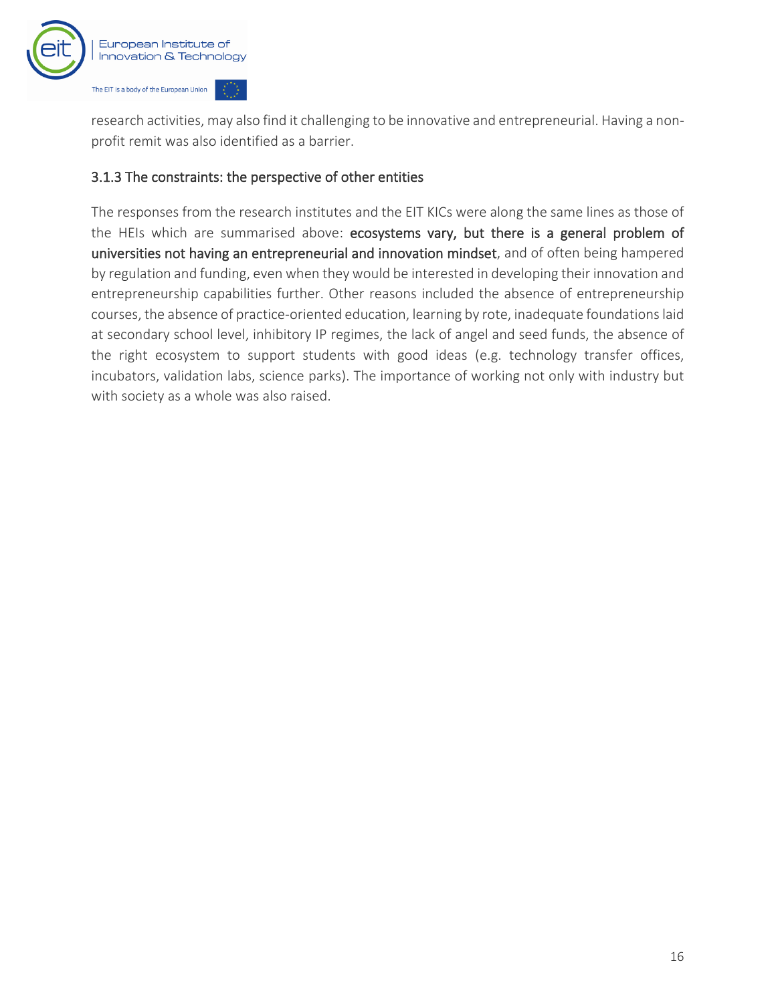

research activities, may also find it challenging to be innovative and entrepreneurial. Having a nonprofit remit was also identified as a barrier.

#### 3.1.3 The constraints: the perspective of other entities

The responses from the research institutes and the EIT KICs were along the same lines as those of the HEIs which are summarised above: ecosystems vary, but there is a general problem of universities not having an entrepreneurial and innovation mindset, and of often being hampered by regulation and funding, even when they would be interested in developing their innovation and entrepreneurship capabilities further. Other reasons included the absence of entrepreneurship courses, the absence of practice-oriented education, learning by rote, inadequate foundations laid at secondary school level, inhibitory IP regimes, the lack of angel and seed funds, the absence of the right ecosystem to support students with good ideas (e.g. technology transfer offices, incubators, validation labs, science parks). The importance of working not only with industry but with society as a whole was also raised.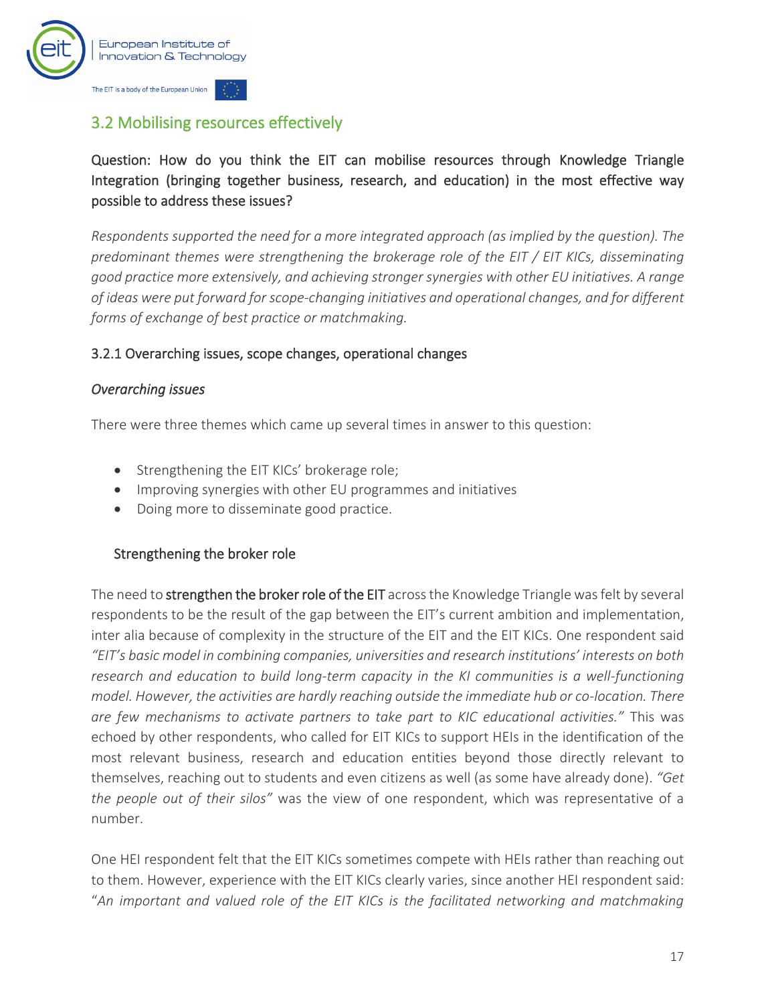

## <span id="page-18-0"></span>3.2 Mobilising resources effectively

Question: How do you think the EIT can mobilise resources through Knowledge Triangle Integration (bringing together business, research, and education) in the most effective way possible to address these issues?

*Respondents supported the need for a more integrated approach (as implied by the question). The predominant themes were strengthening the brokerage role of the EIT / EIT KICs, disseminating good practice more extensively, and achieving stronger synergies with other EU initiatives. A range of ideas were put forward for scope-changing initiatives and operational changes, and for different forms of exchange of best practice or matchmaking.* 

#### 3.2.1 Overarching issues, scope changes, operational changes

#### *Overarching issues*

There were three themes which came up several times in answer to this question:

- Strengthening the EIT KICs' brokerage role;
- Improving synergies with other EU programmes and initiatives
- Doing more to disseminate good practice.

#### Strengthening the broker role

The need to **strengthen the broker role of the EIT** across the Knowledge Triangle was felt by several respondents to be the result of the gap between the EIT's current ambition and implementation, inter alia because of complexity in the structure of the EIT and the EIT KICs. One respondent said *"EIT's basic model in combining companies, universities and research institutions' interests on both research and education to build long-term capacity in the KI communities is a well-functioning model. However, the activities are hardly reaching outside the immediate hub or co-location. There are few mechanisms to activate partners to take part to KIC educational activities."* This was echoed by other respondents, who called for EIT KICs to support HEIs in the identification of the most relevant business, research and education entities beyond those directly relevant to themselves, reaching out to students and even citizens as well (as some have already done). *"Get the people out of their silos"* was the view of one respondent, which was representative of a number.

One HEI respondent felt that the EIT KICs sometimes compete with HEIs rather than reaching out to them. However, experience with the EIT KICs clearly varies, since another HEI respondent said: "*An important and valued role of the EIT KICs is the facilitated networking and matchmaking*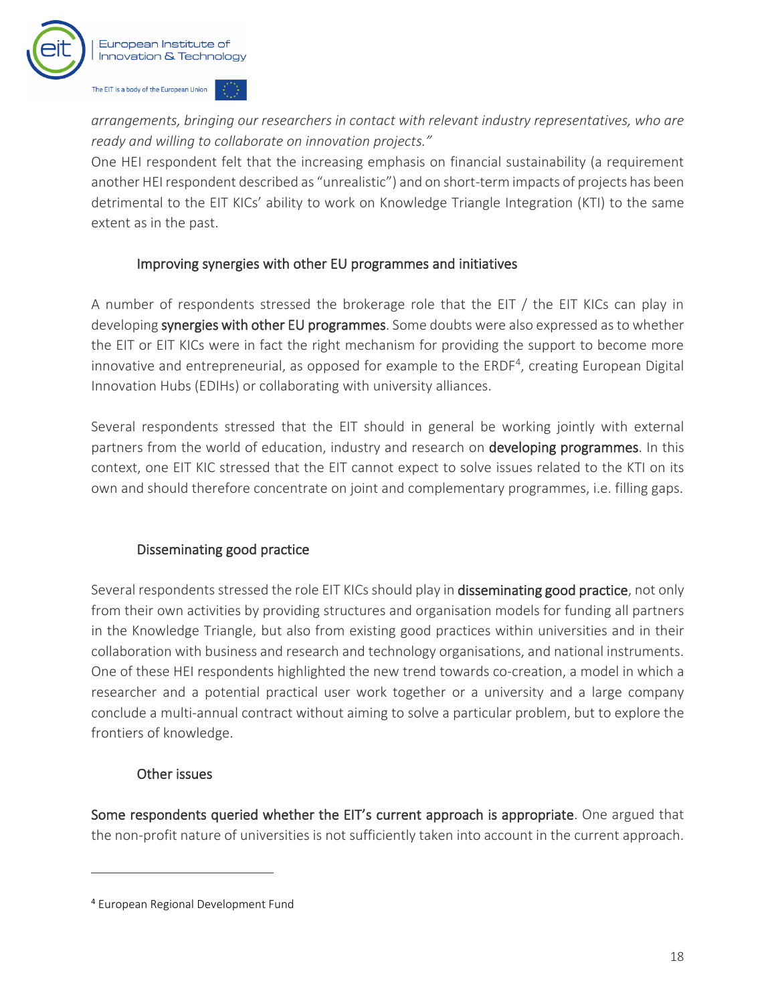

*arrangements, bringing our researchers in contact with relevant industry representatives, who are ready and willing to collaborate on innovation projects."*

One HEI respondent felt that the increasing emphasis on financial sustainability (a requirement another HEI respondent described as "unrealistic") and on short-term impacts of projects has been detrimental to the EIT KICs' ability to work on Knowledge Triangle Integration (KTI) to the same extent as in the past.

#### Improving synergies with other EU programmes and initiatives

A number of respondents stressed the brokerage role that the EIT / the EIT KICs can play in developing synergies with other EU programmes. Some doubts were also expressed as to whether the EIT or EIT KICs were in fact the right mechanism for providing the support to become more innovative and entrepreneurial, as opposed for example to the ERDF<sup>4</sup>, creating European Digital Innovation Hubs (EDIHs) or collaborating with university alliances.

Several respondents stressed that the EIT should in general be working jointly with external partners from the world of education, industry and research on developing programmes. In this context, one EIT KIC stressed that the EIT cannot expect to solve issues related to the KTI on its own and should therefore concentrate on joint and complementary programmes, i.e. filling gaps.

#### Disseminating good practice

Several respondents stressed the role EIT KICs should play in disseminating good practice, not only from their own activities by providing structures and organisation models for funding all partners in the Knowledge Triangle, but also from existing good practices within universities and in their collaboration with business and research and technology organisations, and national instruments. One of these HEI respondents highlighted the new trend towards co-creation, a model in which a researcher and a potential practical user work together or a university and a large company conclude a multi-annual contract without aiming to solve a particular problem, but to explore the frontiers of knowledge.

#### Other issues

Some respondents queried whether the EIT's current approach is appropriate. One argued that the non-profit nature of universities is not sufficiently taken into account in the current approach.

<sup>4</sup> European Regional Development Fund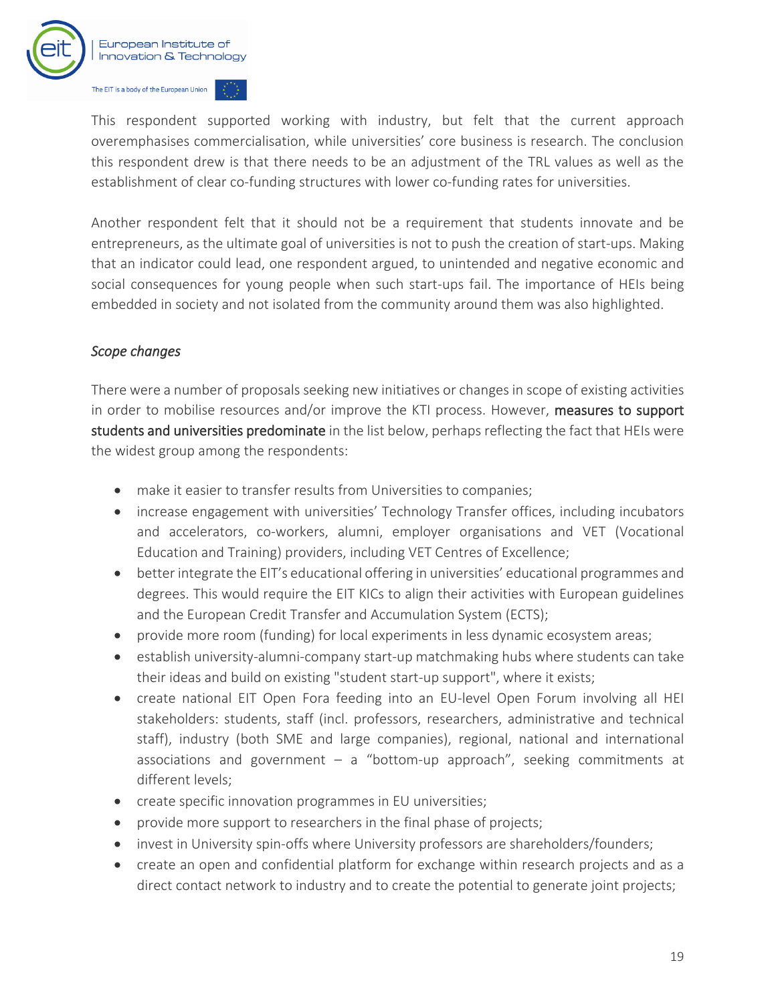

This respondent supported working with industry, but felt that the current approach overemphasises commercialisation, while universities' core business is research. The conclusion this respondent drew is that there needs to be an adjustment of the TRL values as well as the establishment of clear co-funding structures with lower co-funding rates for universities.

Another respondent felt that it should not be a requirement that students innovate and be entrepreneurs, as the ultimate goal of universities is not to push the creation of start-ups. Making that an indicator could lead, one respondent argued, to unintended and negative economic and social consequences for young people when such start-ups fail. The importance of HEIs being embedded in society and not isolated from the community around them was also highlighted.

#### *Scope changes*

There were a number of proposals seeking new initiatives or changes in scope of existing activities in order to mobilise resources and/or improve the KTI process. However, measures to support students and universities predominate in the list below, perhaps reflecting the fact that HEIs were the widest group among the respondents:

- make it easier to transfer results from Universities to companies;
- increase engagement with universities' Technology Transfer offices, including incubators and accelerators, co-workers, alumni, employer organisations and VET (Vocational Education and Training) providers, including VET Centres of Excellence;
- better integrate the EIT's educational offering in universities' educational programmes and degrees. This would require the EIT KICs to align their activities with European guidelines and the European Credit Transfer and Accumulation System (ECTS);
- provide more room (funding) for local experiments in less dynamic ecosystem areas;
- establish university-alumni-company start-up matchmaking hubs where students can take their ideas and build on existing "student start-up support", where it exists;
- create national EIT Open Fora feeding into an EU-level Open Forum involving all HEI stakeholders: students, staff (incl. professors, researchers, administrative and technical staff), industry (both SME and large companies), regional, national and international associations and government  $-$  a "bottom-up approach", seeking commitments at different levels;
- create specific innovation programmes in EU universities;
- provide more support to researchers in the final phase of projects;
- invest in University spin-offs where University professors are shareholders/founders;
- create an open and confidential platform for exchange within research projects and as a direct contact network to industry and to create the potential to generate joint projects;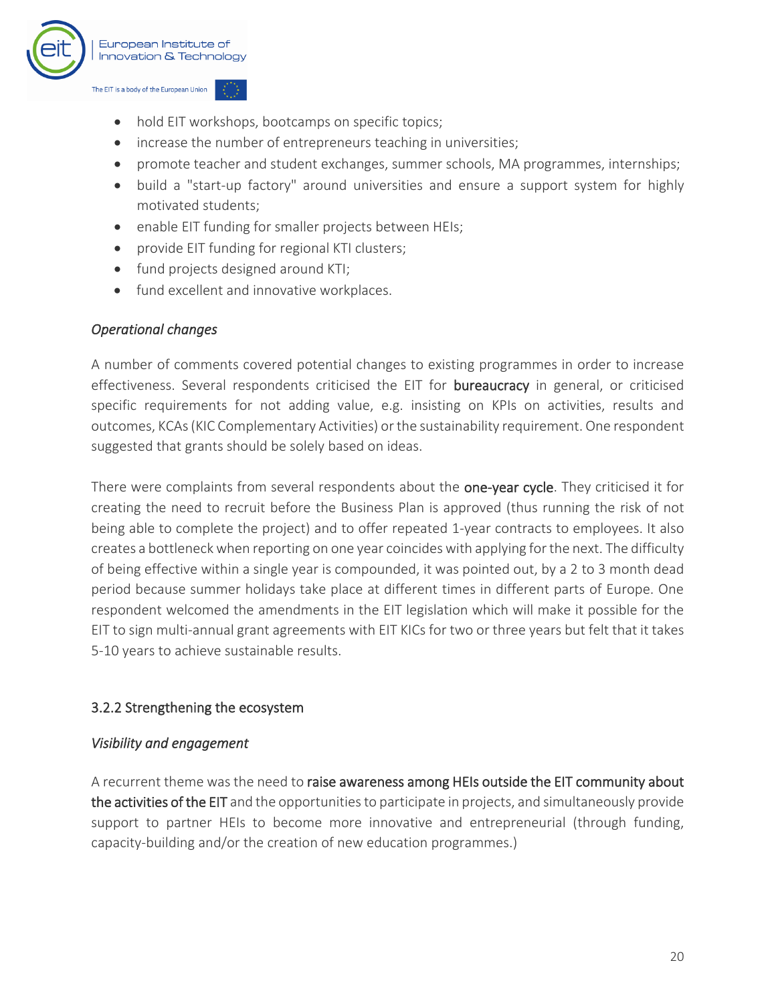

- hold EIT workshops, bootcamps on specific topics;
- increase the number of entrepreneurs teaching in universities;
- promote teacher and student exchanges, summer schools, MA programmes, internships;
- build a "start-up factory" around universities and ensure a support system for highly motivated students;
- enable EIT funding for smaller projects between HEIs;
- provide EIT funding for regional KTI clusters;
- fund projects designed around KTI;
- fund excellent and innovative workplaces.

#### *Operational changes*

A number of comments covered potential changes to existing programmes in order to increase effectiveness. Several respondents criticised the EIT for bureaucracy in general, or criticised specific requirements for not adding value, e.g. insisting on KPIs on activities, results and outcomes, KCAs (KIC Complementary Activities) or the sustainability requirement. One respondent suggested that grants should be solely based on ideas.

There were complaints from several respondents about the one-year cycle. They criticised it for creating the need to recruit before the Business Plan is approved (thus running the risk of not being able to complete the project) and to offer repeated 1-year contracts to employees. It also creates a bottleneck when reporting on one year coincides with applying for the next. The difficulty of being effective within a single year is compounded, it was pointed out, by a 2 to 3 month dead period because summer holidays take place at different times in different parts of Europe. One respondent welcomed the amendments in the EIT legislation which will make it possible for the EIT to sign multi-annual grant agreements with EIT KICs for two or three years but felt that it takes 5-10 years to achieve sustainable results.

#### 3.2.2 Strengthening the ecosystem

#### *Visibility and engagement*

A recurrent theme was the need to raise awareness among HEIs outside the EIT community about the activities of the EIT and the opportunities to participate in projects, and simultaneously provide support to partner HEIs to become more innovative and entrepreneurial (through funding, capacity-building and/or the creation of new education programmes.)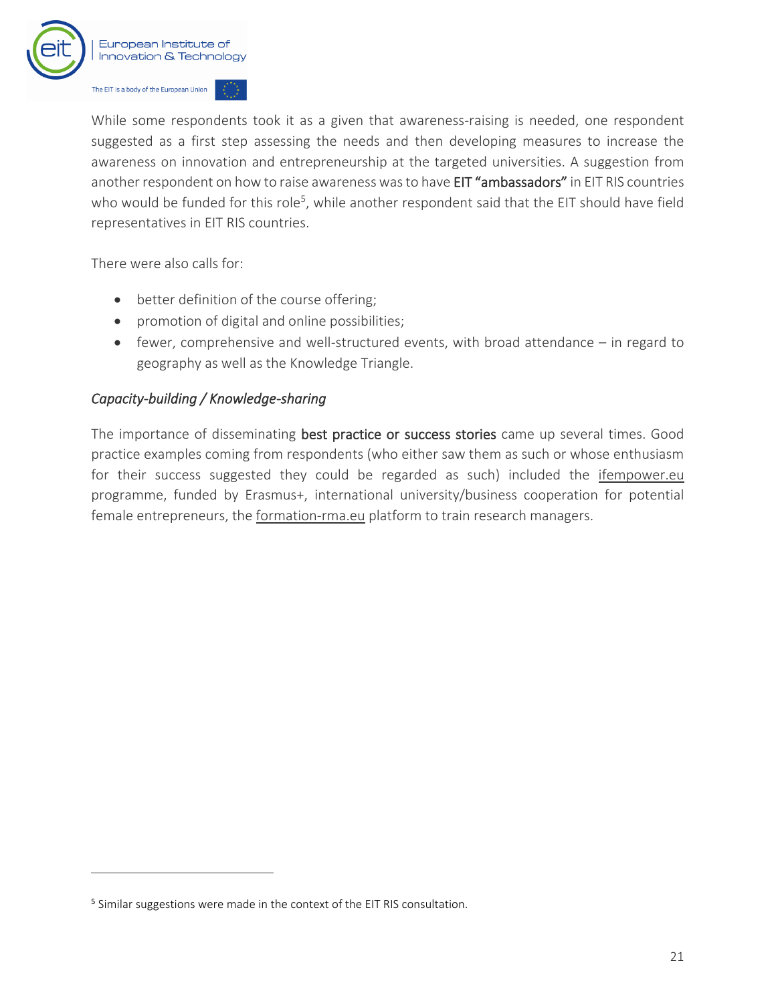

While some respondents took it as a given that awareness-raising is needed, one respondent suggested as a first step assessing the needs and then developing measures to increase the awareness on innovation and entrepreneurship at the targeted universities. A suggestion from another respondent on how to raise awareness was to have EIT "ambassadors" in EIT RIS countries who would be funded for this role<sup>5</sup>, while another respondent said that the EIT should have field representatives in EIT RIS countries.

There were also calls for:

- better definition of the course offering;
- promotion of digital and online possibilities;
- fewer, comprehensive and well-structured events, with broad attendance in regard to geography as well as the Knowledge Triangle.

#### *Capacity-building / Knowledge-sharing*

The importance of disseminating best practice or success stories came up several times. Good practice examples coming from respondents (who either saw them as such or whose enthusiasm for their success suggested they could be regarded as such) included the [ifempower.eu](https://ifempower.eu/) programme, funded by Erasmus+, international university/business cooperation for potential female entrepreneurs, the [formation-rma.eu](https://www.formation-rma.eu/) platform to train research managers.

<sup>&</sup>lt;sup>5</sup> Similar suggestions were made in the context of the EIT RIS consultation.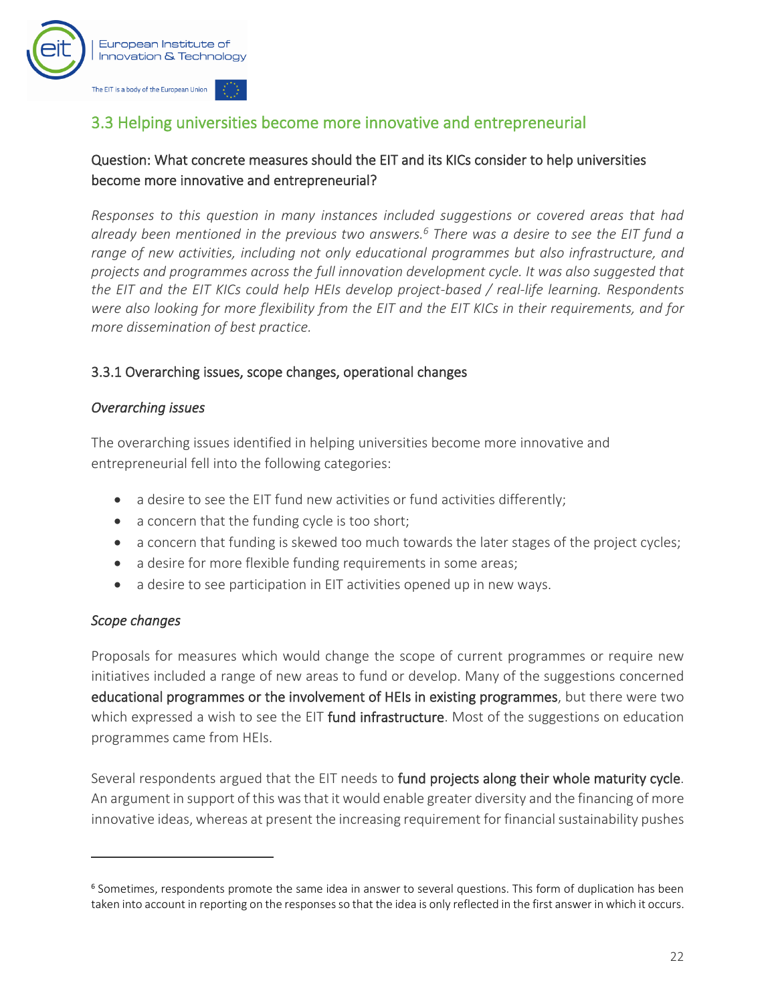

### <span id="page-23-0"></span>3.3 Helping universities become more innovative and entrepreneurial

#### Question: What concrete measures should the EIT and its KICs consider to help universities become more innovative and entrepreneurial?

*Responses to this question in many instances included suggestions or covered areas that had already been mentioned in the previous two answers. <sup>6</sup> There was a desire to see the EIT fund a range of new activities, including not only educational programmes but also infrastructure, and projects and programmes across the full innovation development cycle. It was also suggested that the EIT and the EIT KICs could help HEIs develop project-based / real-life learning. Respondents were also looking for more flexibility from the EIT and the EIT KICs in their requirements, and for more dissemination of best practice.*

#### 3.3.1 Overarching issues, scope changes, operational changes

#### *Overarching issues*

The overarching issues identified in helping universities become more innovative and entrepreneurial fell into the following categories:

- a desire to see the EIT fund new activities or fund activities differently;
- a concern that the funding cycle is too short;
- a concern that funding is skewed too much towards the later stages of the project cycles;
- a desire for more flexible funding requirements in some areas;
- a desire to see participation in EIT activities opened up in new ways.

#### *Scope changes*

Proposals for measures which would change the scope of current programmes or require new initiatives included a range of new areas to fund or develop. Many of the suggestions concerned educational programmes or the involvement of HEIs in existing programmes, but there were two which expressed a wish to see the EIT fund infrastructure. Most of the suggestions on education programmes came from HEIs.

Several respondents argued that the EIT needs to fund projects along their whole maturity cycle. An argument in support of this was that it would enable greater diversity and the financing of more innovative ideas, whereas at present the increasing requirement for financial sustainability pushes

<sup>6</sup> Sometimes, respondents promote the same idea in answer to several questions. This form of duplication has been taken into account in reporting on the responses so that the idea is only reflected in the first answer in which it occurs.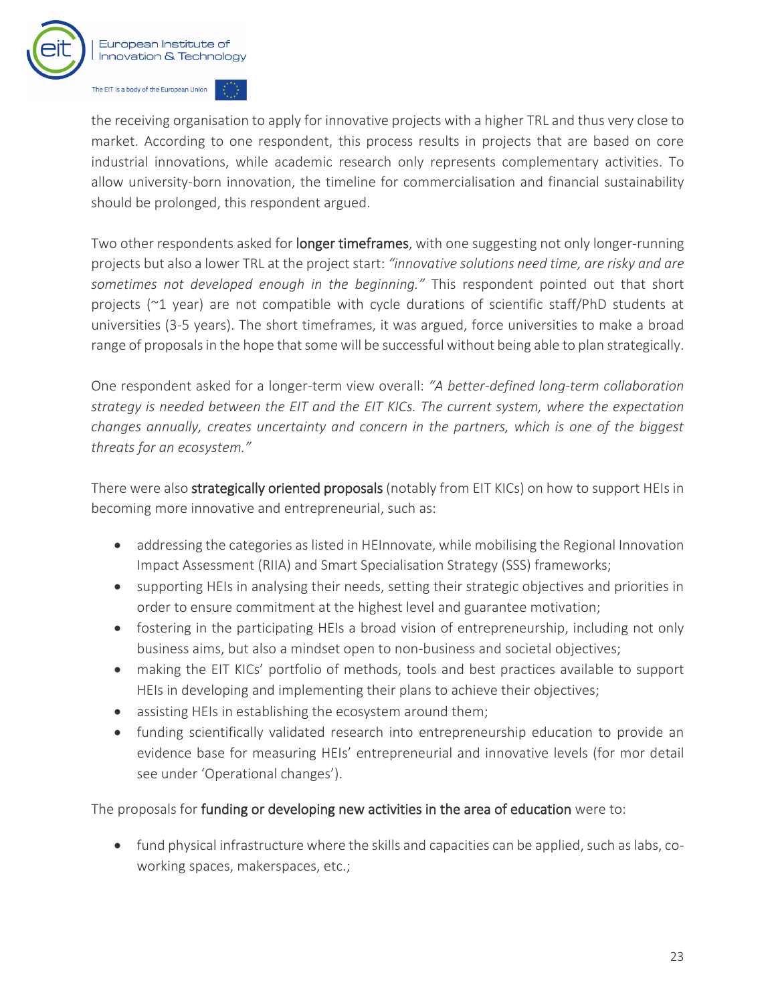

the receiving organisation to apply for innovative projects with a higher TRL and thus very close to market. According to one respondent, this process results in projects that are based on core industrial innovations, while academic research only represents complementary activities. To allow university-born innovation, the timeline for commercialisation and financial sustainability should be prolonged, this respondent argued.

Two other respondents asked for longer timeframes, with one suggesting not only longer-running projects but also a lower TRL at the project start: *"innovative solutions need time, are risky and are sometimes not developed enough in the beginning."* This respondent pointed out that short projects (~1 year) are not compatible with cycle durations of scientific staff/PhD students at universities (3-5 years). The short timeframes, it was argued, force universities to make a broad range of proposals in the hope that some will be successful without being able to plan strategically.

One respondent asked for a longer-term view overall: *"A better-defined long-term collaboration strategy is needed between the EIT and the EIT KICs. The current system, where the expectation changes annually, creates uncertainty and concern in the partners, which is one of the biggest threats for an ecosystem."*

There were also **strategically oriented proposals** (notably from EIT KICs) on how to support HEIs in becoming more innovative and entrepreneurial, such as:

- addressing the categories as listed in HEInnovate, while mobilising the Regional Innovation Impact Assessment (RIIA) and Smart Specialisation Strategy (SSS) frameworks;
- supporting HEIs in analysing their needs, setting their strategic objectives and priorities in order to ensure commitment at the highest level and guarantee motivation;
- fostering in the participating HEIs a broad vision of entrepreneurship, including not only business aims, but also a mindset open to non-business and societal objectives;
- making the EIT KICs' portfolio of methods, tools and best practices available to support HEIs in developing and implementing their plans to achieve their objectives;
- assisting HEIs in establishing the ecosystem around them;
- funding scientifically validated research into entrepreneurship education to provide an evidence base for measuring HEIs' entrepreneurial and innovative levels (for mor detail see under 'Operational changes').

The proposals for funding or developing new activities in the area of education were to:

• fund physical infrastructure where the skills and capacities can be applied, such as labs, coworking spaces, makerspaces, etc.;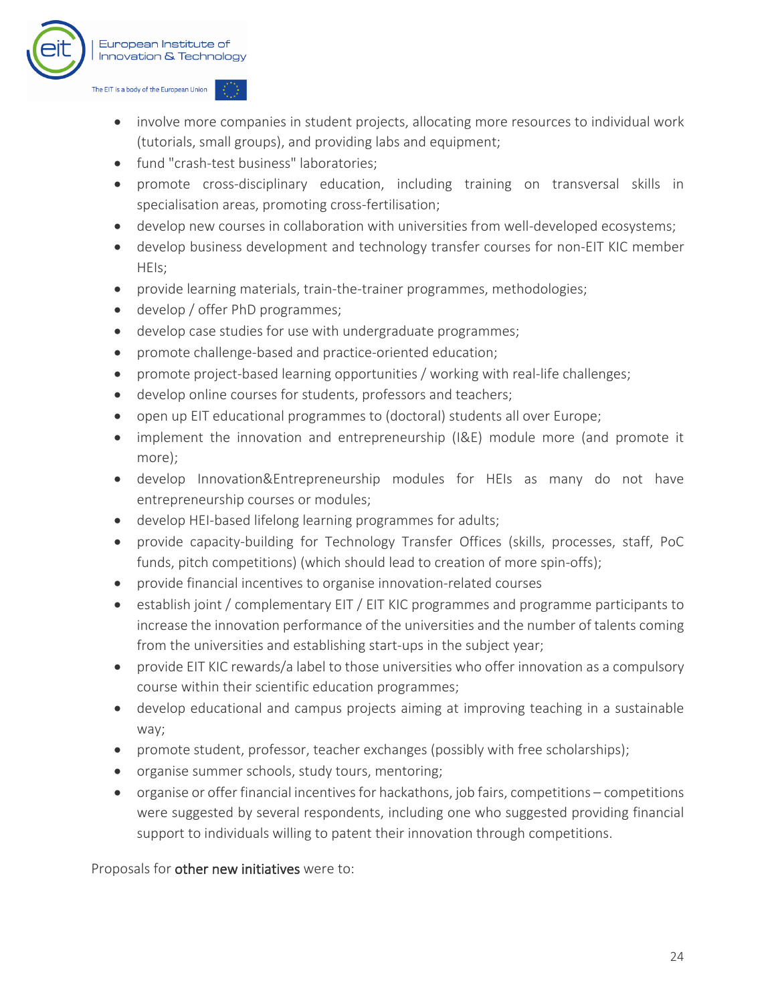

- involve more companies in student projects, allocating more resources to individual work (tutorials, small groups), and providing labs and equipment;
- fund "crash-test business" laboratories;
- promote cross-disciplinary education, including training on transversal skills in specialisation areas, promoting cross-fertilisation;
- develop new courses in collaboration with universities from well-developed ecosystems;
- develop business development and technology transfer courses for non-EIT KIC member HEIs;
- provide learning materials, train-the-trainer programmes, methodologies;
- develop / offer PhD programmes;
- develop case studies for use with undergraduate programmes;
- promote challenge-based and practice-oriented education;
- promote project-based learning opportunities / working with real-life challenges;
- develop online courses for students, professors and teachers;
- open up EIT educational programmes to (doctoral) students all over Europe;
- implement the innovation and entrepreneurship (I&E) module more (and promote it more);
- develop Innovation&Entrepreneurship modules for HEIs as many do not have entrepreneurship courses or modules;
- develop HEI-based lifelong learning programmes for adults;
- provide capacity-building for Technology Transfer Offices (skills, processes, staff, PoC funds, pitch competitions) (which should lead to creation of more spin-offs);
- provide financial incentives to organise innovation-related courses
- establish joint / complementary EIT / EIT KIC programmes and programme participants to increase the innovation performance of the universities and the number of talents coming from the universities and establishing start-ups in the subject year;
- provide EIT KIC rewards/a label to those universities who offer innovation as a compulsory course within their scientific education programmes;
- develop educational and campus projects aiming at improving teaching in a sustainable way;
- promote student, professor, teacher exchanges (possibly with free scholarships);
- organise summer schools, study tours, mentoring;
- organise or offer financial incentives for hackathons, job fairs, competitions competitions were suggested by several respondents, including one who suggested providing financial support to individuals willing to patent their innovation through competitions.

Proposals for other new initiatives were to: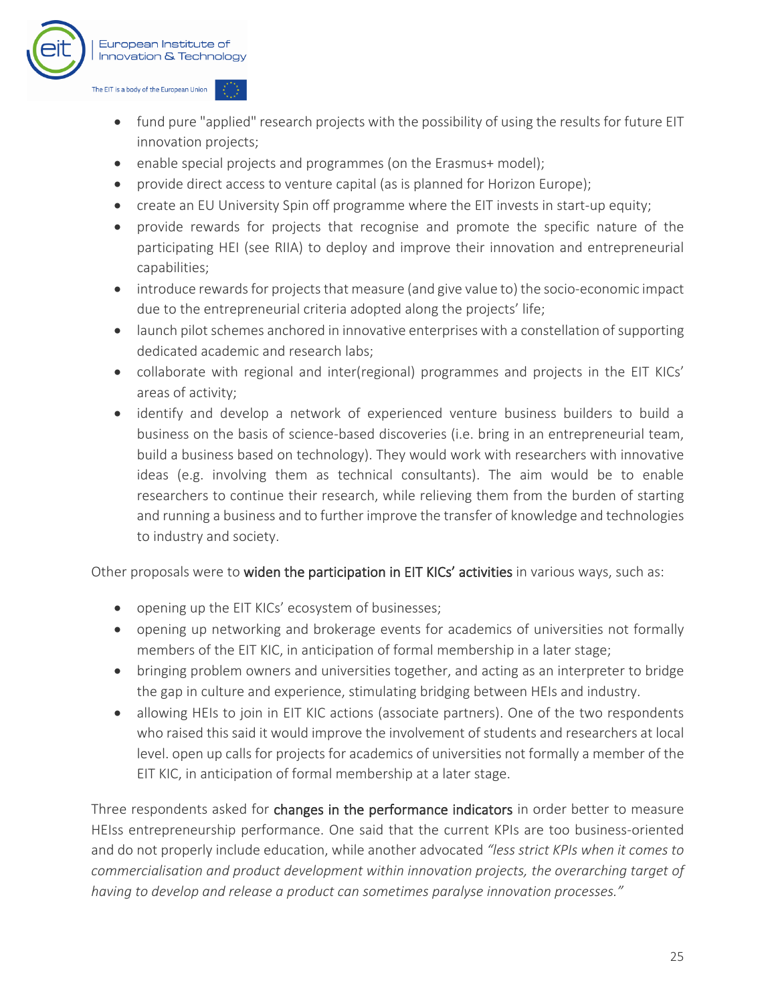

- fund pure "applied" research projects with the possibility of using the results for future EIT innovation projects;
- enable special projects and programmes (on the Erasmus+ model);
- provide direct access to venture capital (as is planned for Horizon Europe);
- create an EU University Spin off programme where the EIT invests in start-up equity;
- provide rewards for projects that recognise and promote the specific nature of the participating HEI (see RIIA) to deploy and improve their innovation and entrepreneurial capabilities;
- introduce rewards for projects that measure (and give value to) the socio-economic impact due to the entrepreneurial criteria adopted along the projects' life;
- launch pilot schemes anchored in innovative enterprises with a constellation of supporting dedicated academic and research labs;
- collaborate with regional and inter(regional) programmes and projects in the EIT KICs' areas of activity;
- identify and develop a network of experienced venture business builders to build a business on the basis of science-based discoveries (i.e. bring in an entrepreneurial team, build a business based on technology). They would work with researchers with innovative ideas (e.g. involving them as technical consultants). The aim would be to enable researchers to continue their research, while relieving them from the burden of starting and running a business and to further improve the transfer of knowledge and technologies to industry and society.

Other proposals were to widen the participation in EIT KICs' activities in various ways, such as:

- opening up the EIT KICs' ecosystem of businesses;
- opening up networking and brokerage events for academics of universities not formally members of the EIT KIC, in anticipation of formal membership in a later stage;
- bringing problem owners and universities together, and acting as an interpreter to bridge the gap in culture and experience, stimulating bridging between HEIs and industry.
- allowing HEIs to join in EIT KIC actions (associate partners). One of the two respondents who raised this said it would improve the involvement of students and researchers at local level. open up calls for projects for academics of universities not formally a member of the EIT KIC, in anticipation of formal membership at a later stage.

Three respondents asked for changes in the performance indicators in order better to measure HEIss entrepreneurship performance. One said that the current KPIs are too business-oriented and do not properly include education, while another advocated *"less strict KPIs when it comes to commercialisation and product development within innovation projects, the overarching target of having to develop and release a product can sometimes paralyse innovation processes."*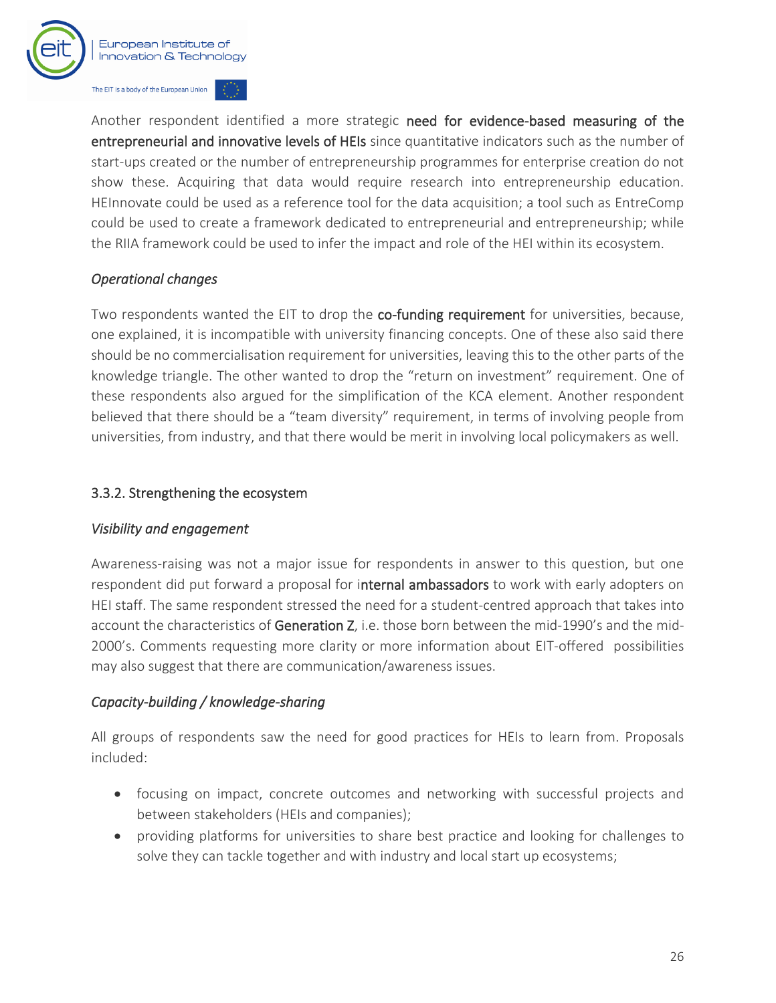

Another respondent identified a more strategic need for evidence-based measuring of the entrepreneurial and innovative levels of HEIs since quantitative indicators such as the number of start-ups created or the number of entrepreneurship programmes for enterprise creation do not show these. Acquiring that data would require research into entrepreneurship education. HEInnovate could be used as a reference tool for the data acquisition; a tool such as EntreComp could be used to create a framework dedicated to entrepreneurial and entrepreneurship; while the RIIA framework could be used to infer the impact and role of the HEI within its ecosystem.

#### *Operational changes*

Two respondents wanted the EIT to drop the co-funding requirement for universities, because, one explained, it is incompatible with university financing concepts. One of these also said there should be no commercialisation requirement for universities, leaving this to the other parts of the knowledge triangle. The other wanted to drop the "return on investment" requirement. One of these respondents also argued for the simplification of the KCA element. Another respondent believed that there should be a "team diversity" requirement, in terms of involving people from universities, from industry, and that there would be merit in involving local policymakers as well.

#### 3.3.2. Strengthening the ecosystem

#### *Visibility and engagement*

Awareness-raising was not a major issue for respondents in answer to this question, but one respondent did put forward a proposal for internal ambassadors to work with early adopters on HEI staff. The same respondent stressed the need for a student-centred approach that takes into account the characteristics of Generation Z, i.e. those born between the mid-1990's and the mid-2000's. Comments requesting more clarity or more information about EIT-offered possibilities may also suggest that there are communication/awareness issues.

#### *Capacity-building / knowledge-sharing*

All groups of respondents saw the need for good practices for HEIs to learn from. Proposals included:

- focusing on impact, concrete outcomes and networking with successful projects and between stakeholders (HEIs and companies);
- providing platforms for universities to share best practice and looking for challenges to solve they can tackle together and with industry and local start up ecosystems;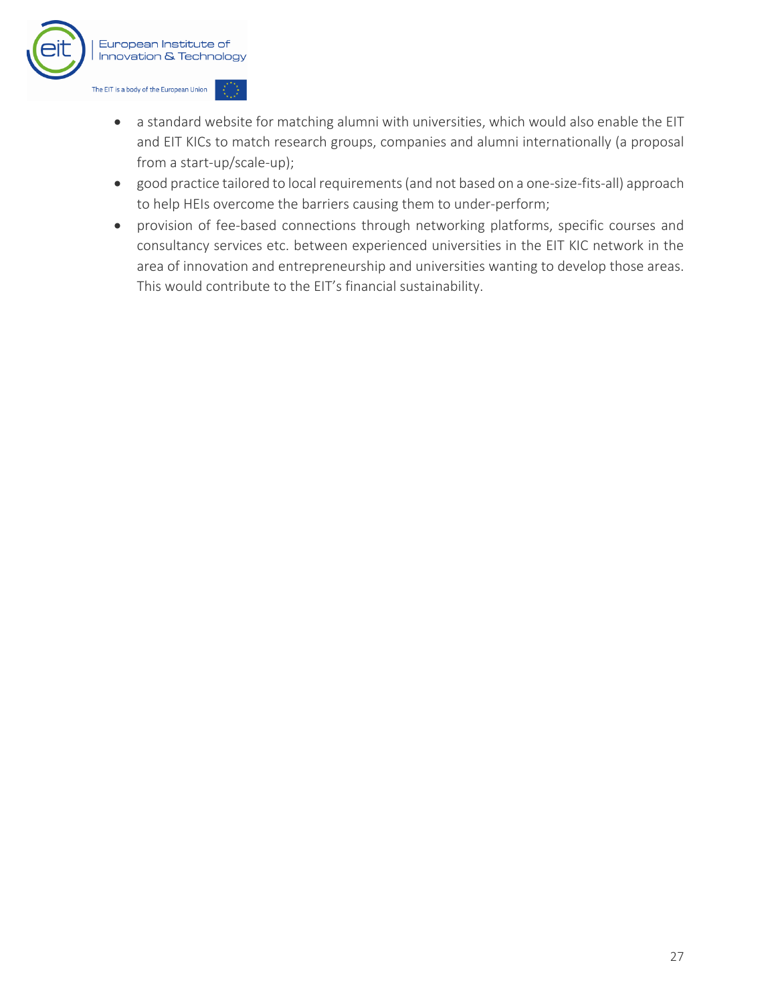

- a standard website for matching alumni with universities, which would also enable the EIT and EIT KICs to match research groups, companies and alumni internationally (a proposal from a start-up/scale-up);
- good practice tailored to local requirements (and not based on a one-size-fits-all) approach to help HEIs overcome the barriers causing them to under-perform;
- provision of fee-based connections through networking platforms, specific courses and consultancy services etc. between experienced universities in the EIT KIC network in the area of innovation and entrepreneurship and universities wanting to develop those areas. This would contribute to the EIT's financial sustainability.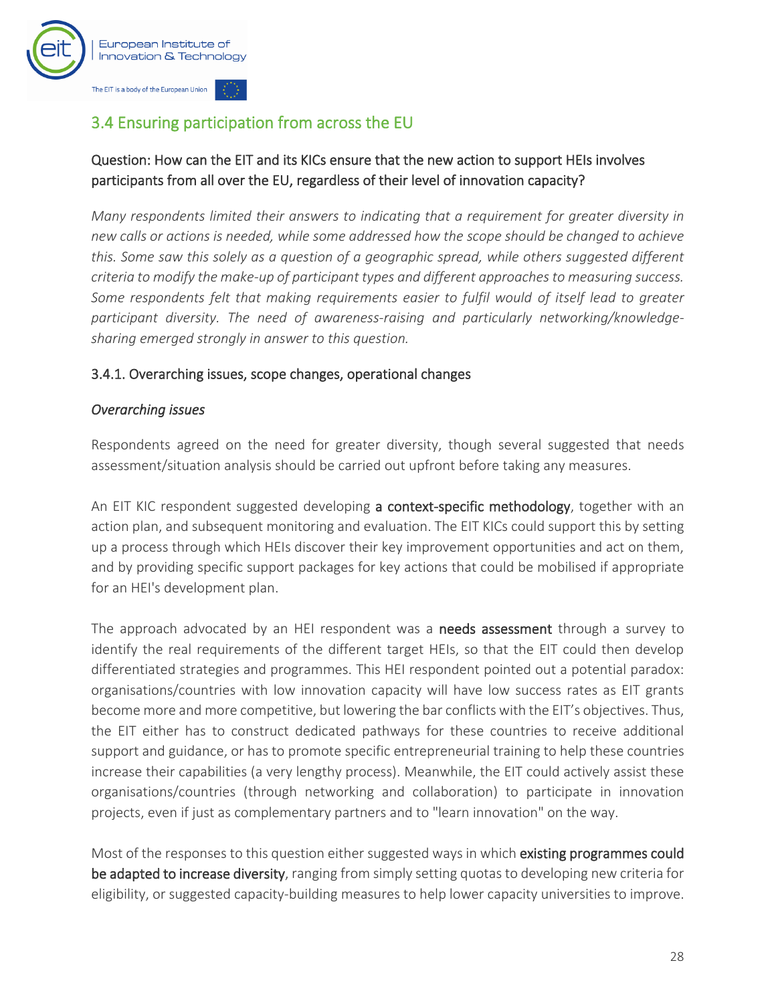

## <span id="page-29-0"></span>3.4 Ensuring participation from across the EU

#### Question: How can the EIT and its KICs ensure that the new action to support HEIs involves participants from all over the EU, regardless of their level of innovation capacity?

*Many respondents limited their answers to indicating that a requirement for greater diversity in new calls or actions is needed, while some addressed how the scope should be changed to achieve this. Some saw this solely as a question of a geographic spread, while others suggested different criteria to modify the make-up of participant types and different approaches to measuring success. Some respondents felt that making requirements easier to fulfil would of itself lead to greater participant diversity. The need of awareness-raising and particularly networking/knowledgesharing emerged strongly in answer to this question.*

#### 3.4.1. Overarching issues, scope changes, operational changes

#### *Overarching issues*

Respondents agreed on the need for greater diversity, though several suggested that needs assessment/situation analysis should be carried out upfront before taking any measures.

An EIT KIC respondent suggested developing a context-specific methodology, together with an action plan, and subsequent monitoring and evaluation. The EIT KICs could support this by setting up a process through which HEIs discover their key improvement opportunities and act on them, and by providing specific support packages for key actions that could be mobilised if appropriate for an HEI's development plan.

The approach advocated by an HEI respondent was a **needs assessment** through a survey to identify the real requirements of the different target HEIs, so that the EIT could then develop differentiated strategies and programmes. This HEI respondent pointed out a potential paradox: organisations/countries with low innovation capacity will have low success rates as EIT grants become more and more competitive, but lowering the bar conflicts with the EIT's objectives. Thus, the EIT either has to construct dedicated pathways for these countries to receive additional support and guidance, or has to promote specific entrepreneurial training to help these countries increase their capabilities (a very lengthy process). Meanwhile, the EIT could actively assist these organisations/countries (through networking and collaboration) to participate in innovation projects, even if just as complementary partners and to "learn innovation" on the way.

Most of the responses to this question either suggested ways in which existing programmes could be adapted to increase diversity, ranging from simply setting quotas to developing new criteria for eligibility, or suggested capacity-building measures to help lower capacity universities to improve.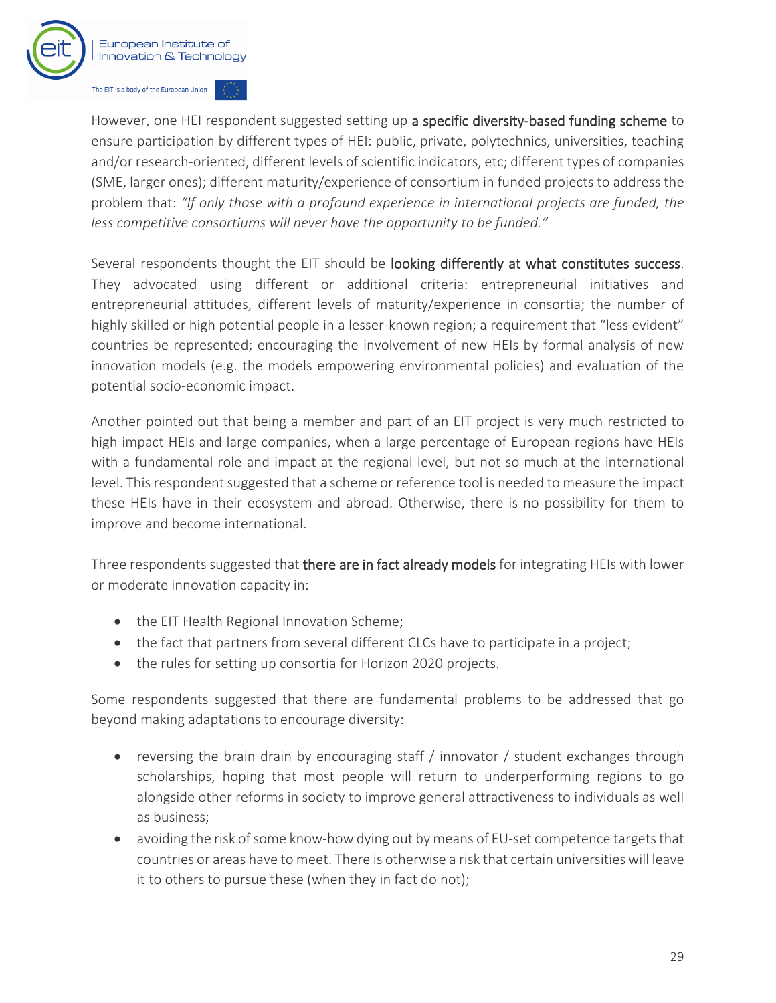

However, one HEI respondent suggested setting up a specific diversity-based funding scheme to ensure participation by different types of HEI: public, private, polytechnics, universities, teaching and/or research-oriented, different levels of scientific indicators, etc; different types of companies (SME, larger ones); different maturity/experience of consortium in funded projects to address the problem that: *"If only those with a profound experience in international projects are funded, the less competitive consortiums will never have the opportunity to be funded."* 

Several respondents thought the EIT should be looking differently at what constitutes success. They advocated using different or additional criteria: entrepreneurial initiatives and entrepreneurial attitudes, different levels of maturity/experience in consortia; the number of highly skilled or high potential people in a lesser-known region; a requirement that "less evident" countries be represented; encouraging the involvement of new HEIs by formal analysis of new innovation models (e.g. the models empowering environmental policies) and evaluation of the potential socio-economic impact.

Another pointed out that being a member and part of an EIT project is very much restricted to high impact HEIs and large companies, when a large percentage of European regions have HEIs with a fundamental role and impact at the regional level, but not so much at the international level. This respondent suggested that a scheme or reference tool is needed to measure the impact these HEIs have in their ecosystem and abroad. Otherwise, there is no possibility for them to improve and become international.

Three respondents suggested that there are in fact already models for integrating HEIs with lower or moderate innovation capacity in:

- the EIT Health Regional Innovation Scheme;
- the fact that partners from several different CLCs have to participate in a project;
- the rules for setting up consortia for Horizon 2020 projects.

Some respondents suggested that there are fundamental problems to be addressed that go beyond making adaptations to encourage diversity:

- reversing the brain drain by encouraging staff / innovator / student exchanges through scholarships, hoping that most people will return to underperforming regions to go alongside other reforms in society to improve general attractiveness to individuals as well as business;
- avoiding the risk of some know-how dying out by means of EU-set competence targets that countries or areas have to meet. There is otherwise a risk that certain universities will leave it to others to pursue these (when they in fact do not);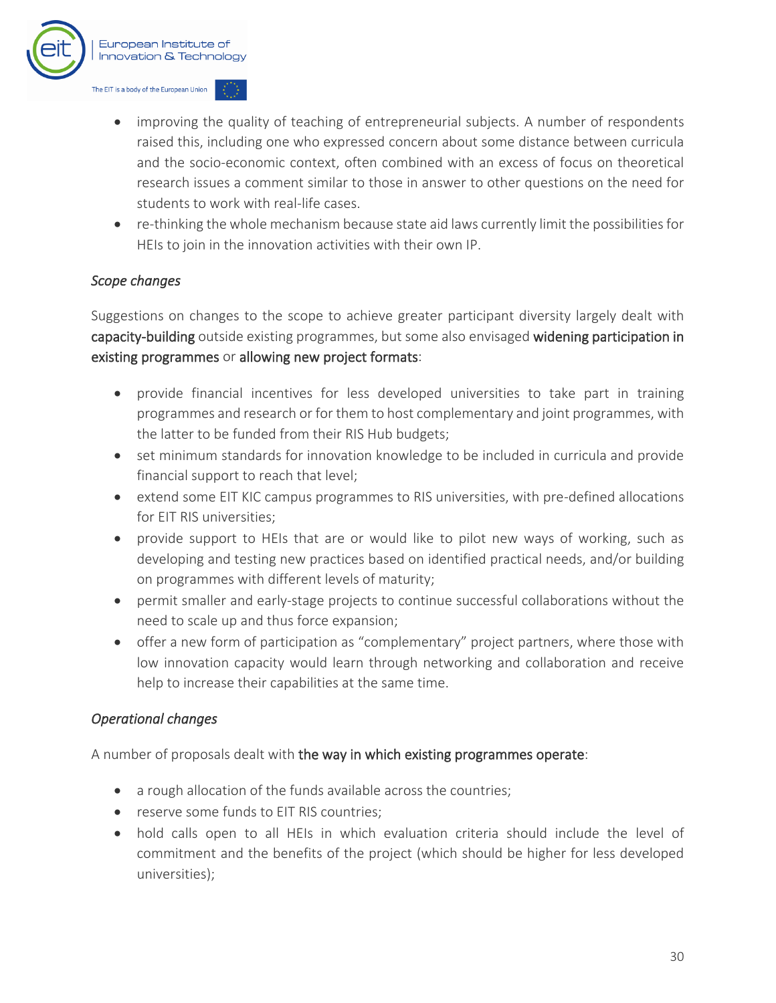

- improving the quality of teaching of entrepreneurial subjects. A number of respondents raised this, including one who expressed concern about some distance between curricula and the socio-economic context, often combined with an excess of focus on theoretical research issues a comment similar to those in answer to other questions on the need for students to work with real-life cases.
- re-thinking the whole mechanism because state aid laws currently limit the possibilities for HEIs to join in the innovation activities with their own IP.

#### *Scope changes*

Suggestions on changes to the scope to achieve greater participant diversity largely dealt with capacity-building outside existing programmes, but some also envisaged widening participation in existing programmes or allowing new project formats:

- provide financial incentives for less developed universities to take part in training programmes and research or for them to host complementary and joint programmes, with the latter to be funded from their RIS Hub budgets;
- set minimum standards for innovation knowledge to be included in curricula and provide financial support to reach that level;
- extend some EIT KIC campus programmes to RIS universities, with pre-defined allocations for EIT RIS universities;
- provide support to HEIs that are or would like to pilot new ways of working, such as developing and testing new practices based on identified practical needs, and/or building on programmes with different levels of maturity;
- permit smaller and early-stage projects to continue successful collaborations without the need to scale up and thus force expansion;
- offer a new form of participation as "complementary" project partners, where those with low innovation capacity would learn through networking and collaboration and receive help to increase their capabilities at the same time.

#### *Operational changes*

A number of proposals dealt with the way in which existing programmes operate:

- a rough allocation of the funds available across the countries;
- reserve some funds to EIT RIS countries;
- hold calls open to all HEIs in which evaluation criteria should include the level of commitment and the benefits of the project (which should be higher for less developed universities);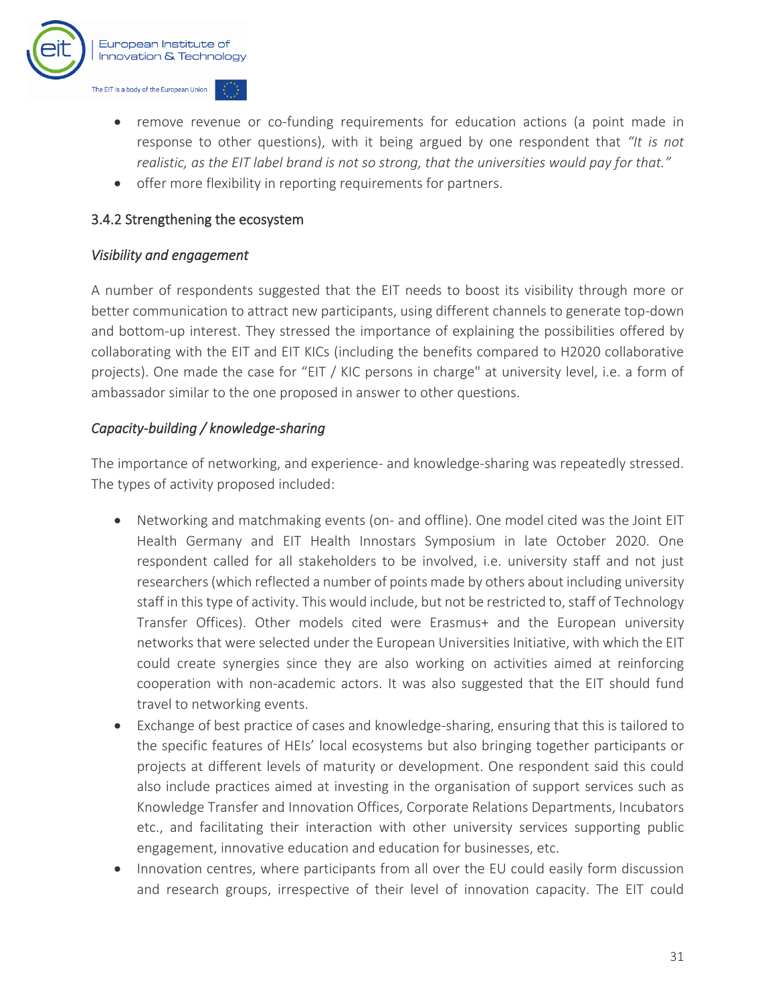

- remove revenue or co-funding requirements for education actions (a point made in response to other questions), with it being argued by one respondent that *"It is not realistic, as the EIT label brand is not so strong, that the universities would pay for that."*
- offer more flexibility in reporting requirements for partners.

#### 3.4.2 Strengthening the ecosystem

#### *Visibility and engagement*

A number of respondents suggested that the EIT needs to boost its visibility through more or better communication to attract new participants, using different channels to generate top-down and bottom-up interest. They stressed the importance of explaining the possibilities offered by collaborating with the EIT and EIT KICs (including the benefits compared to H2020 collaborative projects). One made the case for "EIT / KIC persons in charge" at university level, i.e. a form of ambassador similar to the one proposed in answer to other questions.

#### *Capacity-building / knowledge-sharing*

The importance of networking, and experience- and knowledge-sharing was repeatedly stressed. The types of activity proposed included:

- Networking and matchmaking events (on- and offline). One model cited was the Joint EIT Health Germany and EIT Health Innostars Symposium in late October 2020. One respondent called for all stakeholders to be involved, i.e. university staff and not just researchers(which reflected a number of points made by others about including university staff in this type of activity. This would include, but not be restricted to, staff of Technology Transfer Offices). Other models cited were Erasmus+ and the European university networks that were selected under the European Universities Initiative, with which the EIT could create synergies since they are also working on activities aimed at reinforcing cooperation with non-academic actors. It was also suggested that the EIT should fund travel to networking events.
- Exchange of best practice of cases and knowledge-sharing, ensuring that this is tailored to the specific features of HEIs' local ecosystems but also bringing together participants or projects at different levels of maturity or development. One respondent said this could also include practices aimed at investing in the organisation of support services such as Knowledge Transfer and Innovation Offices, Corporate Relations Departments, Incubators etc., and facilitating their interaction with other university services supporting public engagement, innovative education and education for businesses, etc.
- Innovation centres, where participants from all over the EU could easily form discussion and research groups, irrespective of their level of innovation capacity. The EIT could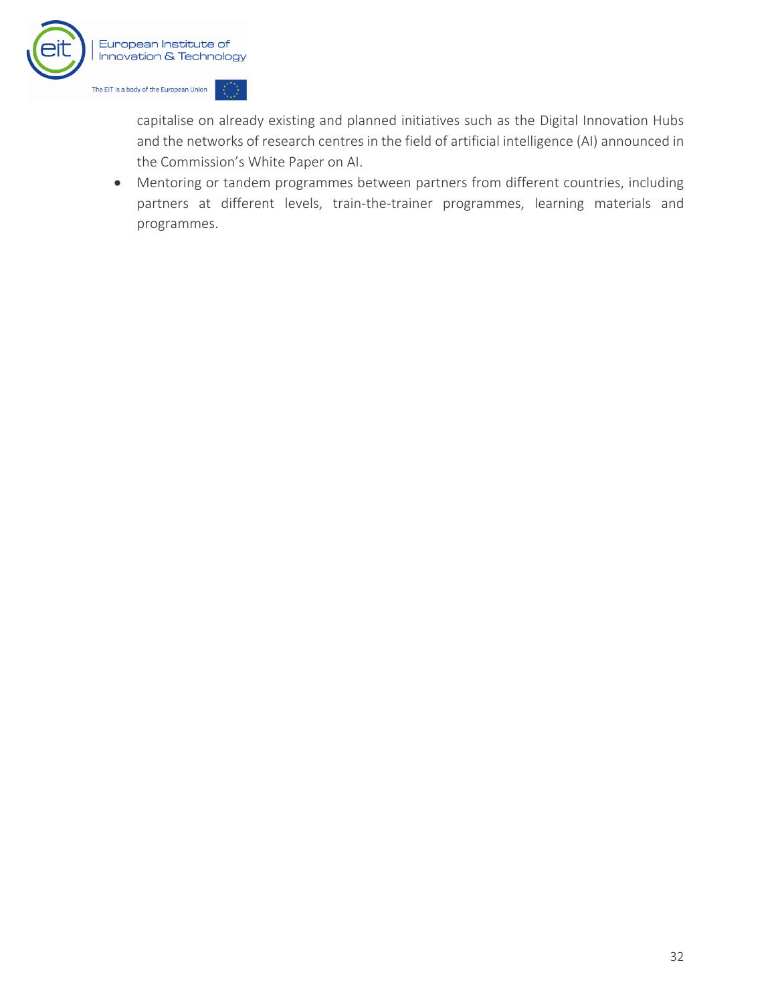

capitalise on already existing and planned initiatives such as the Digital Innovation Hubs and the networks of research centres in the field of artificial intelligence (AI) announced in the Commission's White Paper on AI.

• Mentoring or tandem programmes between partners from different countries, including partners at different levels, train-the-trainer programmes, learning materials and programmes.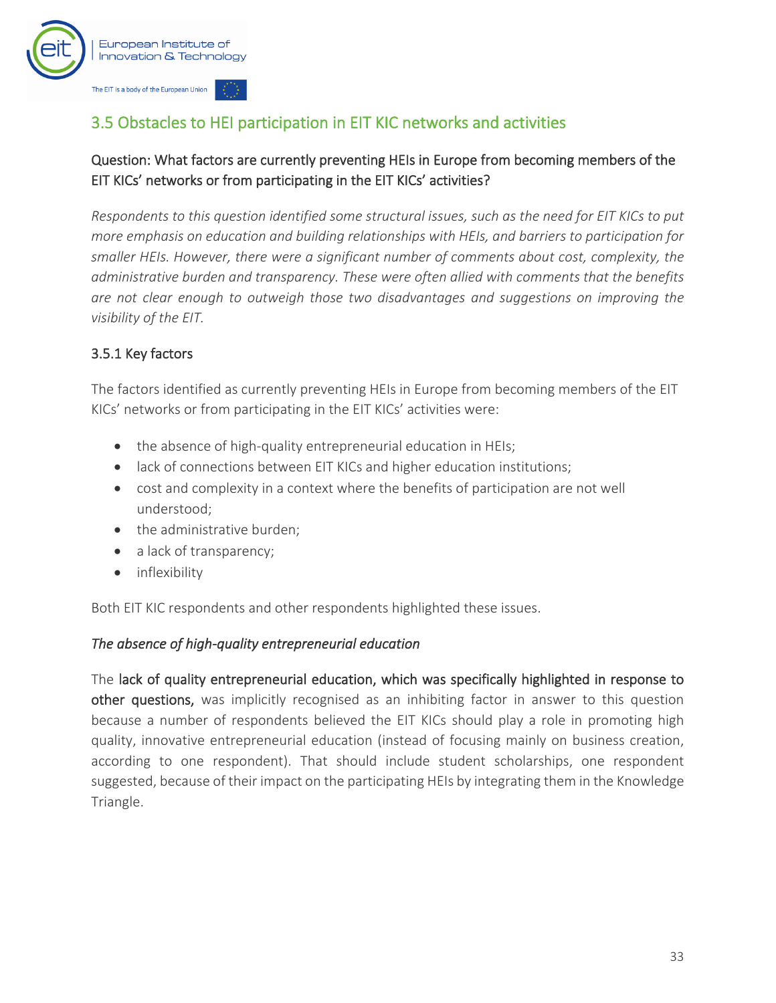

## <span id="page-34-0"></span>3.5 Obstacles to HEI participation in EIT KIC networks and activities

#### Question: What factors are currently preventing HEIs in Europe from becoming members of the EIT KICs' networks or from participating in the EIT KICs' activities?

*Respondents to this question identified some structural issues, such as the need for EIT KICs to put more emphasis on education and building relationships with HEIs, and barriers to participation for smaller HEIs. However, there were a significant number of comments about cost, complexity, the administrative burden and transparency. These were often allied with comments that the benefits are not clear enough to outweigh those two disadvantages and suggestions on improving the visibility of the EIT.*

#### 3.5.1 Key factors

The factors identified as currently preventing HEIs in Europe from becoming members of the EIT KICs' networks or from participating in the EIT KICs' activities were:

- the absence of high-quality entrepreneurial education in HEIs;
- lack of connections between EIT KICs and higher education institutions;
- cost and complexity in a context where the benefits of participation are not well understood;
- the administrative burden;
- a lack of transparency;
- inflexibility

Both EIT KIC respondents and other respondents highlighted these issues.

#### *The absence of high-quality entrepreneurial education*

The lack of quality entrepreneurial education, which was specifically highlighted in response to other questions, was implicitly recognised as an inhibiting factor in answer to this question because a number of respondents believed the EIT KICs should play a role in promoting high quality, innovative entrepreneurial education (instead of focusing mainly on business creation, according to one respondent). That should include student scholarships, one respondent suggested, because of their impact on the participating HEIs by integrating them in the Knowledge Triangle.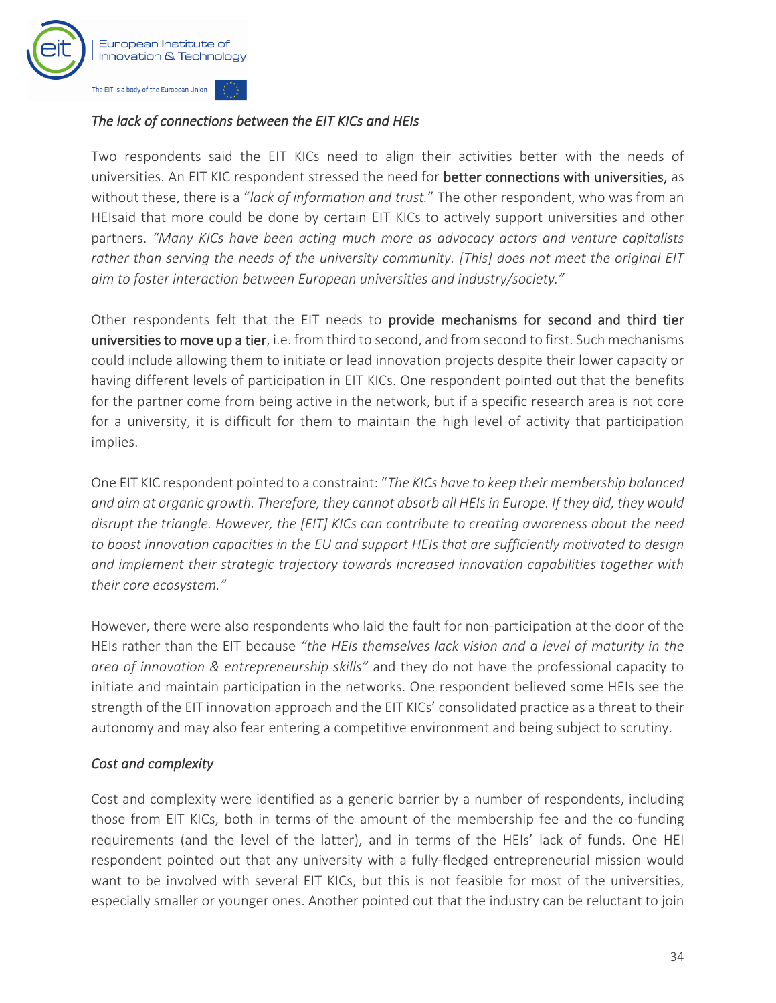

#### *The lack of connections between the EIT KICs and HEIs*

Two respondents said the EIT KICs need to align their activities better with the needs of universities. An EIT KIC respondent stressed the need for better connections with universities, as without these, there is a "*lack of information and trust.*" The other respondent, who was from an HEIsaid that more could be done by certain EIT KICs to actively support universities and other partners. *"Many KICs have been acting much more as advocacy actors and venture capitalists rather than serving the needs of the university community. [This] does not meet the original EIT aim to foster interaction between European universities and industry/society."*

Other respondents felt that the EIT needs to provide mechanisms for second and third tier universities to move up a tier, i.e. from third to second, and from second to first. Such mechanisms could include allowing them to initiate or lead innovation projects despite their lower capacity or having different levels of participation in EIT KICs. One respondent pointed out that the benefits for the partner come from being active in the network, but if a specific research area is not core for a university, it is difficult for them to maintain the high level of activity that participation implies.

One EIT KIC respondent pointed to a constraint: "*The KICs have to keep their membership balanced and aim at organic growth. Therefore, they cannot absorb all HEIs in Europe. If they did, they would disrupt the triangle. However, the [EIT] KICs can contribute to creating awareness about the need to boost innovation capacities in the EU and support HEIs that are sufficiently motivated to design and implement their strategic trajectory towards increased innovation capabilities together with their core ecosystem."*

However, there were also respondents who laid the fault for non-participation at the door of the HEIs rather than the EIT because *"the HEIs themselves lack vision and a level of maturity in the area of innovation & entrepreneurship skills"* and they do not have the professional capacity to initiate and maintain participation in the networks. One respondent believed some HEIs see the strength of the EIT innovation approach and the EIT KICs' consolidated practice as a threat to their autonomy and may also fear entering a competitive environment and being subject to scrutiny.

#### *Cost and complexity*

Cost and complexity were identified as a generic barrier by a number of respondents, including those from EIT KICs, both in terms of the amount of the membership fee and the co-funding requirements (and the level of the latter), and in terms of the HEIs' lack of funds. One HEI respondent pointed out that any university with a fully-fledged entrepreneurial mission would want to be involved with several EIT KICs, but this is not feasible for most of the universities, especially smaller or younger ones. Another pointed out that the industry can be reluctant to join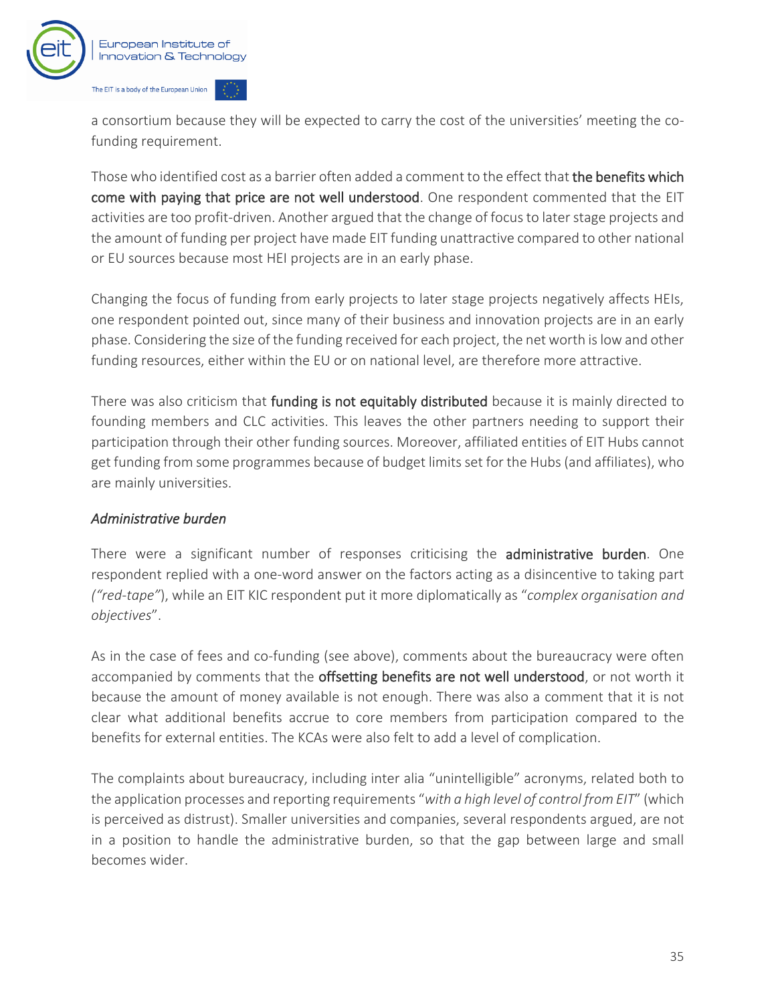

a consortium because they will be expected to carry the cost of the universities' meeting the cofunding requirement.

Those who identified cost as a barrier often added a comment to the effect that the benefits which come with paying that price are not well understood. One respondent commented that the EIT activities are too profit-driven. Another argued that the change of focus to later stage projects and the amount of funding per project have made EIT funding unattractive compared to other national or EU sources because most HEI projects are in an early phase.

Changing the focus of funding from early projects to later stage projects negatively affects HEIs, one respondent pointed out, since many of their business and innovation projects are in an early phase. Considering the size of the funding received for each project, the net worth is low and other funding resources, either within the EU or on national level, are therefore more attractive.

There was also criticism that funding is not equitably distributed because it is mainly directed to founding members and CLC activities. This leaves the other partners needing to support their participation through their other funding sources. Moreover, affiliated entities of EIT Hubs cannot get funding from some programmes because of budget limits set for the Hubs (and affiliates), who are mainly universities.

#### *Administrative burden*

There were a significant number of responses criticising the **administrative burden**. One respondent replied with a one-word answer on the factors acting as a disincentive to taking part *("red-tape"*), while an EIT KIC respondent put it more diplomatically as "*complex organisation and objectives*".

As in the case of fees and co-funding (see above), comments about the bureaucracy were often accompanied by comments that the offsetting benefits are not well understood, or not worth it because the amount of money available is not enough. There was also a comment that it is not clear what additional benefits accrue to core members from participation compared to the benefits for external entities. The KCAs were also felt to add a level of complication.

The complaints about bureaucracy, including inter alia "unintelligible" acronyms, related both to the application processes and reporting requirements "*with a high level of control from EIT*" (which is perceived as distrust). Smaller universities and companies, several respondents argued, are not in a position to handle the administrative burden, so that the gap between large and small becomes wider.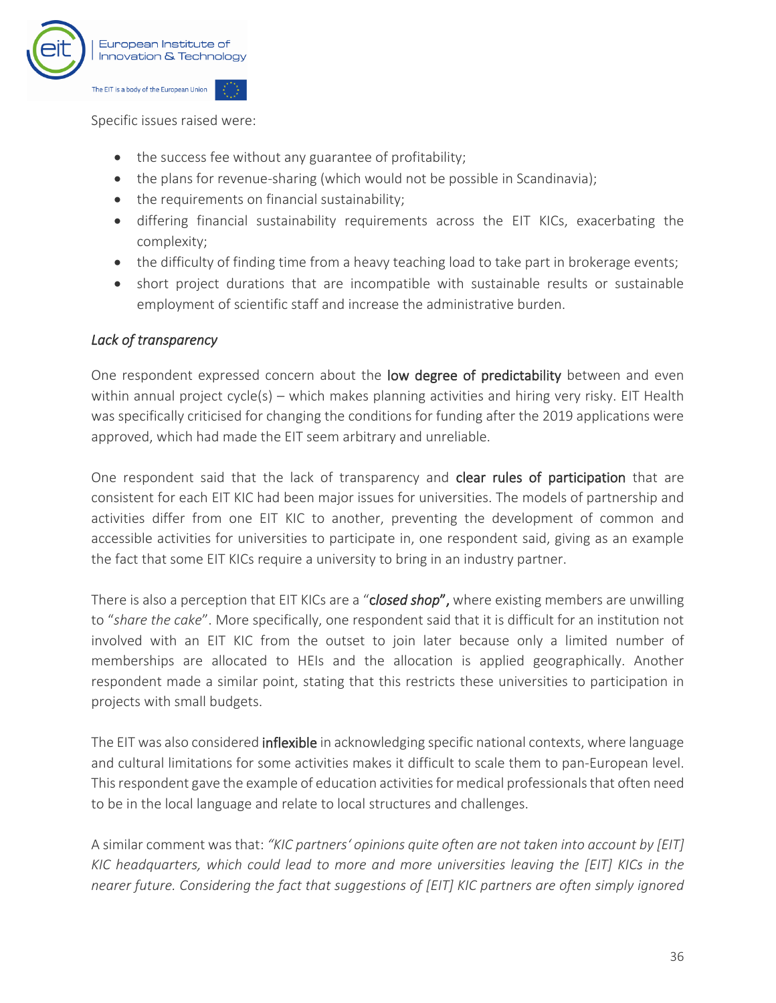

Specific issues raised were:

- the success fee without any guarantee of profitability;
- the plans for revenue-sharing (which would not be possible in Scandinavia);
- the requirements on financial sustainability;
- differing financial sustainability requirements across the EIT KICs, exacerbating the complexity;
- the difficulty of finding time from a heavy teaching load to take part in brokerage events;
- short project durations that are incompatible with sustainable results or sustainable employment of scientific staff and increase the administrative burden.

#### *Lack of transparency*

One respondent expressed concern about the low degree of predictability between and even within annual project cycle(s) – which makes planning activities and hiring very risky. EIT Health was specifically criticised for changing the conditions for funding after the 2019 applications were approved, which had made the EIT seem arbitrary and unreliable.

One respondent said that the lack of transparency and clear rules of participation that are consistent for each EIT KIC had been major issues for universities. The models of partnership and activities differ from one EIT KIC to another, preventing the development of common and accessible activities for universities to participate in, one respondent said, giving as an example the fact that some EIT KICs require a university to bring in an industry partner.

There is also a perception that EIT KICs are a "c*losed shop*", where existing members are unwilling to "*share the cake*". More specifically, one respondent said that it is difficult for an institution not involved with an EIT KIC from the outset to join later because only a limited number of memberships are allocated to HEIs and the allocation is applied geographically. Another respondent made a similar point, stating that this restricts these universities to participation in projects with small budgets.

The EIT was also considered **inflexible** in acknowledging specific national contexts, where language and cultural limitations for some activities makes it difficult to scale them to pan-European level. This respondent gave the example of education activities for medical professionals that often need to be in the local language and relate to local structures and challenges.

A similar comment was that: *"KIC partners' opinions quite often are not taken into account by [EIT] KIC headquarters, which could lead to more and more universities leaving the [EIT] KICs in the nearer future. Considering the fact that suggestions of [EIT] KIC partners are often simply ignored*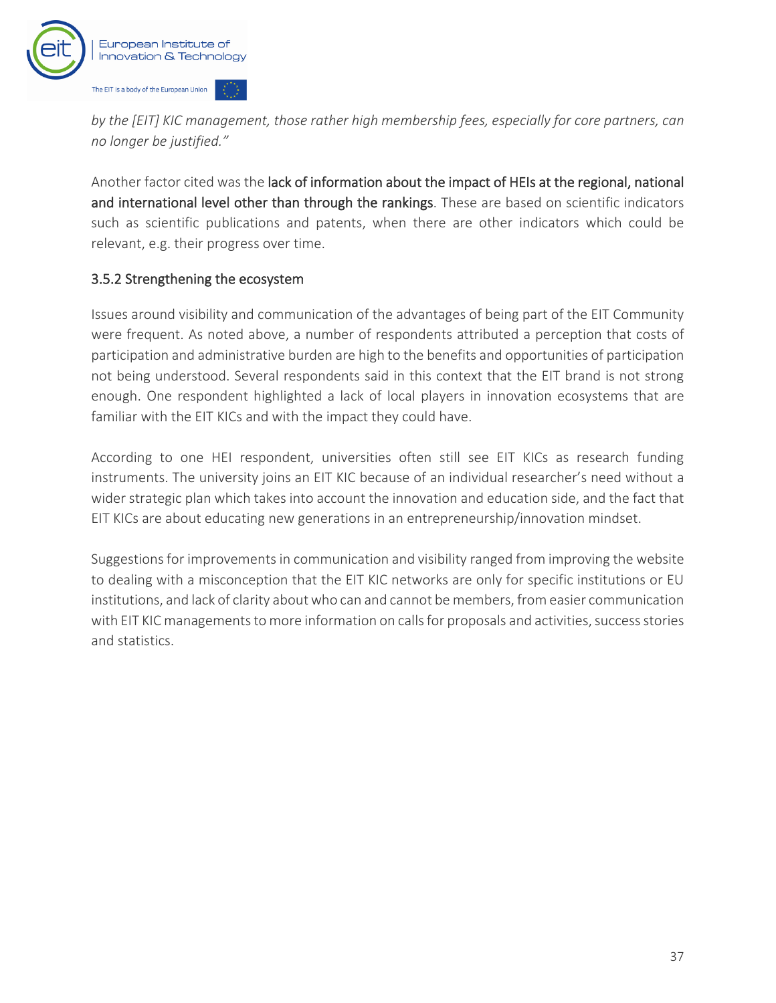

*by the [EIT] KIC management, those rather high membership fees, especially for core partners, can no longer be justified."*

Another factor cited was the lack of information about the impact of HEIs at the regional, national and international level other than through the rankings. These are based on scientific indicators such as scientific publications and patents, when there are other indicators which could be relevant, e.g. their progress over time.

#### 3.5.2 Strengthening the ecosystem

Issues around visibility and communication of the advantages of being part of the EIT Community were frequent. As noted above, a number of respondents attributed a perception that costs of participation and administrative burden are high to the benefits and opportunities of participation not being understood. Several respondents said in this context that the EIT brand is not strong enough. One respondent highlighted a lack of local players in innovation ecosystems that are familiar with the EIT KICs and with the impact they could have.

According to one HEI respondent, universities often still see EIT KICs as research funding instruments. The university joins an EIT KIC because of an individual researcher's need without a wider strategic plan which takes into account the innovation and education side, and the fact that EIT KICs are about educating new generations in an entrepreneurship/innovation mindset.

Suggestions for improvements in communication and visibility ranged from improving the website to dealing with a misconception that the EIT KIC networks are only for specific institutions or EU institutions, and lack of clarity about who can and cannot be members, from easier communication with EIT KIC managements to more information on calls for proposals and activities, success stories and statistics.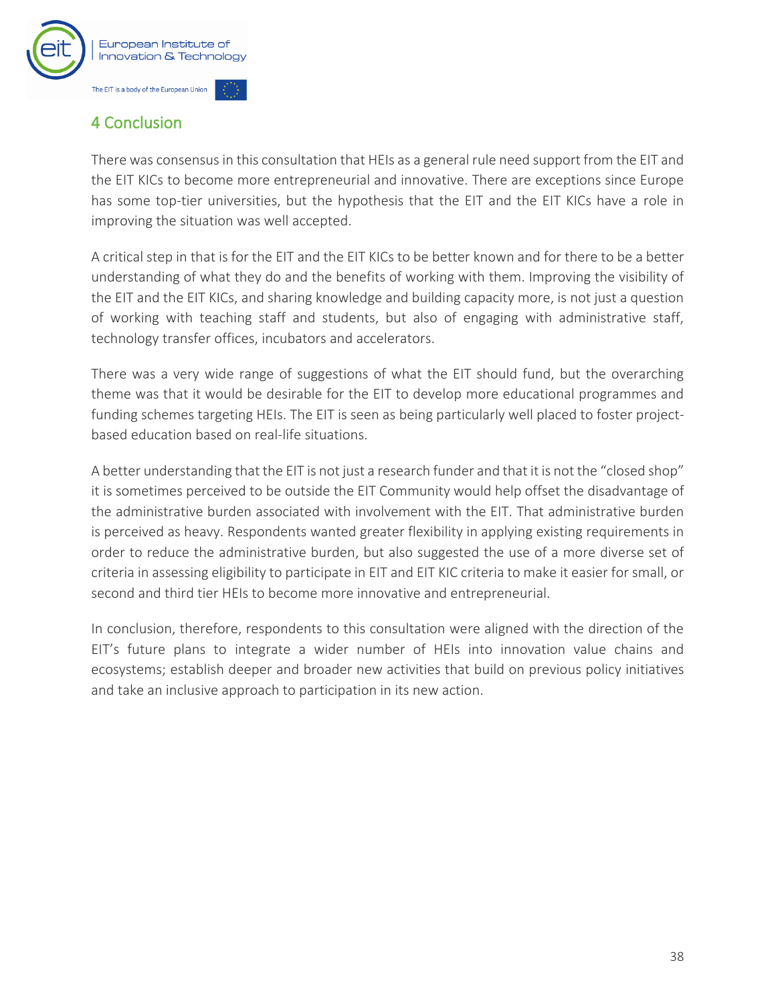

## <span id="page-39-0"></span>4 Conclusion

There was consensus in this consultation that HEIs as a general rule need support from the EIT and the EIT KICs to become more entrepreneurial and innovative. There are exceptions since Europe has some top-tier universities, but the hypothesis that the EIT and the EIT KICs have a role in improving the situation was well accepted.

A critical step in that is for the EIT and the EIT KICs to be better known and for there to be a better understanding of what they do and the benefits of working with them. Improving the visibility of the EIT and the EIT KICs, and sharing knowledge and building capacity more, is not just a question of working with teaching staff and students, but also of engaging with administrative staff, technology transfer offices, incubators and accelerators.

There was a very wide range of suggestions of what the EIT should fund, but the overarching theme was that it would be desirable for the EIT to develop more educational programmes and funding schemes targeting HEIs. The EIT is seen as being particularly well placed to foster projectbased education based on real-life situations.

A better understanding that the EIT is not just a research funder and that it is not the "closed shop" it is sometimes perceived to be outside the EIT Community would help offset the disadvantage of the administrative burden associated with involvement with the EIT. That administrative burden is perceived as heavy. Respondents wanted greater flexibility in applying existing requirements in order to reduce the administrative burden, but also suggested the use of a more diverse set of criteria in assessing eligibility to participate in EIT and EIT KIC criteria to make it easier for small, or second and third tier HEIs to become more innovative and entrepreneurial.

In conclusion, therefore, respondents to this consultation were aligned with the direction of the EIT's future plans to integrate a wider number of HEIs into innovation value chains and ecosystems; establish deeper and broader new activities that build on previous policy initiatives and take an inclusive approach to participation in its new action.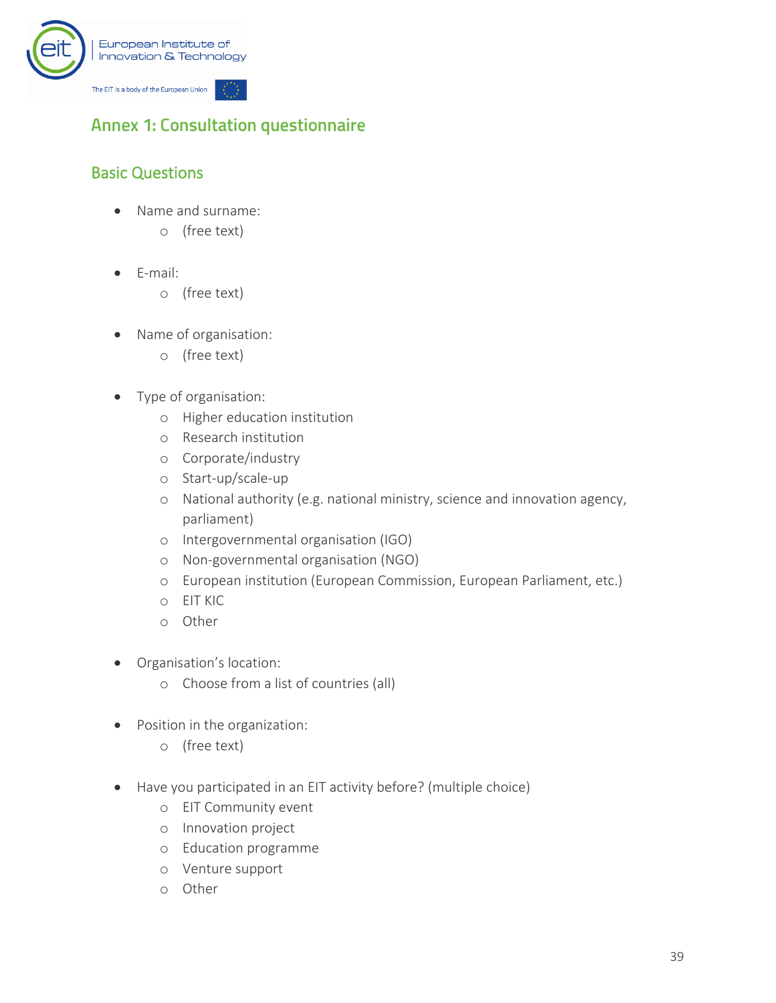

## <span id="page-40-0"></span>**Annex 1: Consultation questionnaire**

## Basic Questions

- Name and surname:
	- o (free text)
- E-mail:
	- o (free text)
- Name of organisation:
	- o (free text)
- Type of organisation:
	- o Higher education institution
	- o Research institution
	- o Corporate/industry
	- o Start-up/scale-up
	- o National authority (e.g. national ministry, science and innovation agency, parliament)
	- o Intergovernmental organisation (IGO)
	- o Non-governmental organisation (NGO)
	- o European institution (European Commission, European Parliament, etc.)
	- o EIT KIC
	- o Other
- Organisation's location:
	- o Choose from a list of countries (all)
- Position in the organization:
	- o (free text)
- Have you participated in an EIT activity before? (multiple choice)
	- o EIT Community event
	- o Innovation project
	- o Education programme
	- o Venture support
	- o Other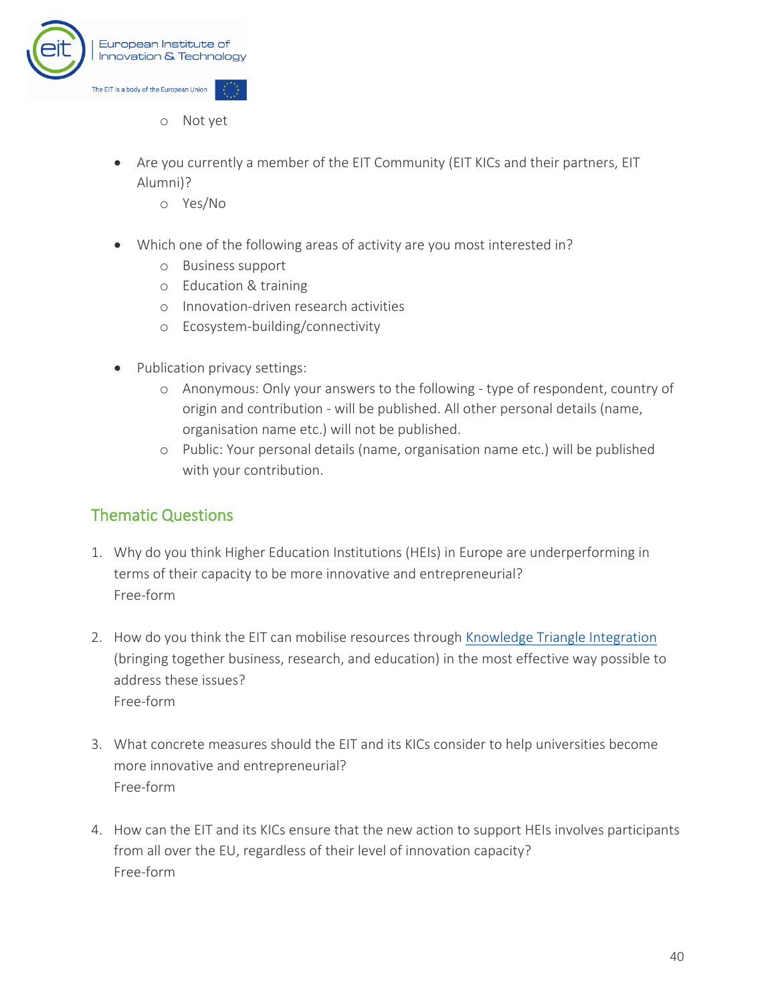

- o Not yet
- Are you currently a member of the EIT Community (EIT KICs and their partners, EIT Alumni)?
	- o Yes/No
- Which one of the following areas of activity are you most interested in?
	- o Business support
	- o Education & training
	- o Innovation-driven research activities
	- o Ecosystem-building/connectivity
- Publication privacy settings:
	- o Anonymous: Only your answers to the following type of respondent, country of origin and contribution - will be published. All other personal details (name, organisation name etc.) will not be published.
	- o Public: Your personal details (name, organisation name etc.) will be published with your contribution.

#### Thematic Questions

- 1. Why do you think Higher Education Institutions (HEIs) in Europe are underperforming in terms of their capacity to be more innovative and entrepreneurial? Free-form
- 2. How do you think the EIT can mobilise resources through [Knowledge Triangle Integration](https://eit.europa.eu/our-communities/eit-innovation-communities) (bringing together business, research, and education) in the most effective way possible to address these issues? Free-form
- 3. What concrete measures should the EIT and its KICs consider to help universities become more innovative and entrepreneurial? Free-form
- 4. How can the EIT and its KICs ensure that the new action to support HEIs involves participants from all over the EU, regardless of their level of innovation capacity? Free-form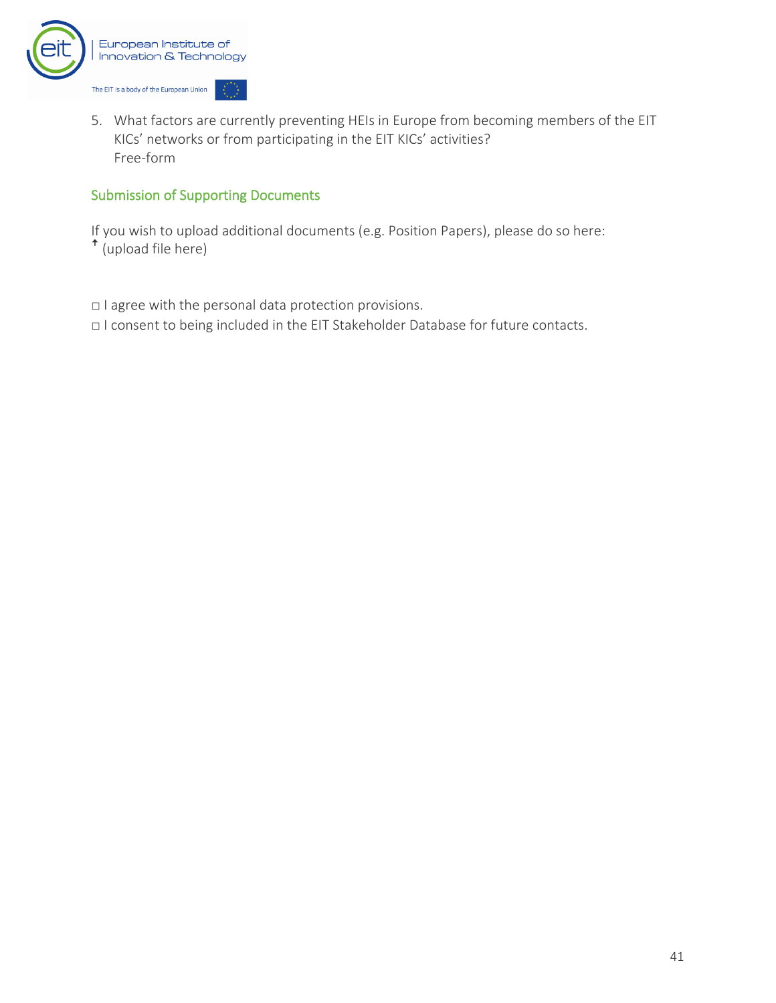

5. What factors are currently preventing HEIs in Europe from becoming members of the EIT KICs' networks or from participating in the EIT KICs' activities? Free-form

#### Submission of Supporting Documents

If you wish to upload additional documents (e.g. Position Papers), please do so here:  $\hat{\mathsf{h}}$  (upload file here)

□ I agree with the personal data protection provisions.

□ I consent to being included in the EIT Stakeholder Database for future contacts.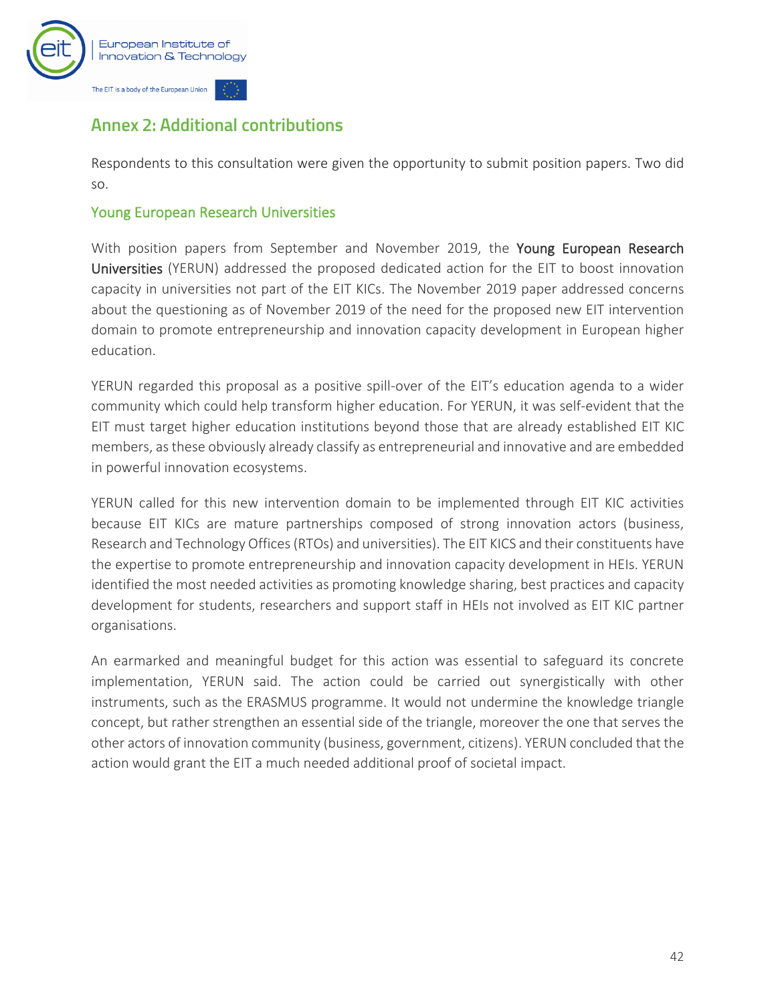

## <span id="page-43-0"></span>**Annex 2: Additional contributions**

Respondents to this consultation were given the opportunity to submit position papers. Two did so.

#### <span id="page-43-1"></span>Young European Research Universities

With position papers from September and November 2019, the Young European Research Universities (YERUN) addressed the proposed dedicated action for the EIT to boost innovation capacity in universities not part of the EIT KICs. The November 2019 paper addressed concerns about the questioning as of November 2019 of the need for the proposed new EIT intervention domain to promote entrepreneurship and innovation capacity development in European higher education.

YERUN regarded this proposal as a positive spill-over of the EIT's education agenda to a wider community which could help transform higher education. For YERUN, it was self-evident that the EIT must target higher education institutions beyond those that are already established EIT KIC members, as these obviously already classify as entrepreneurial and innovative and are embedded in powerful innovation ecosystems.

YERUN called for this new intervention domain to be implemented through EIT KIC activities because EIT KICs are mature partnerships composed of strong innovation actors (business, Research and Technology Offices (RTOs) and universities). The EIT KICS and their constituents have the expertise to promote entrepreneurship and innovation capacity development in HEIs. YERUN identified the most needed activities as promoting knowledge sharing, best practices and capacity development for students, researchers and support staff in HEIs not involved as EIT KIC partner organisations.

An earmarked and meaningful budget for this action was essential to safeguard its concrete implementation, YERUN said. The action could be carried out synergistically with other instruments, such as the ERASMUS programme. It would not undermine the knowledge triangle concept, but rather strengthen an essential side of the triangle, moreover the one that serves the other actors of innovation community (business, government, citizens). YERUN concluded that the action would grant the EIT a much needed additional proof of societal impact.